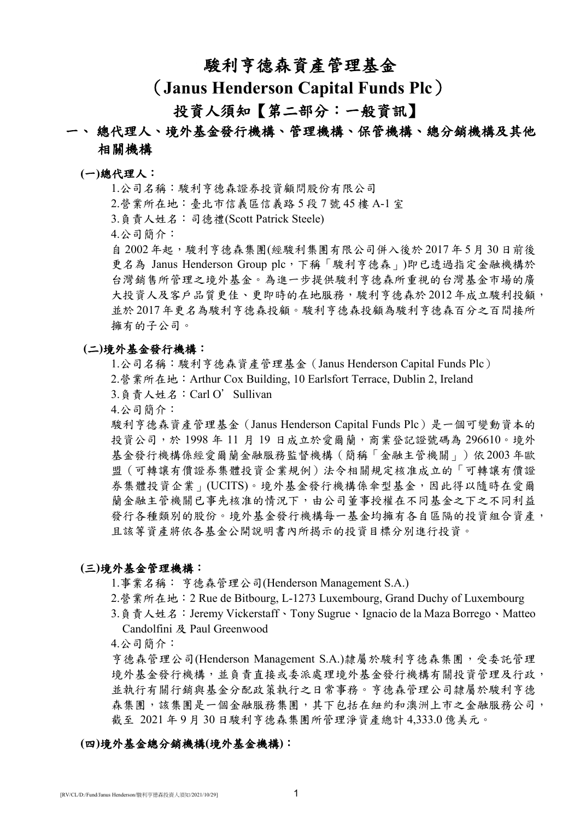# 駿利亨德森資產管理基金

# (**Janus Henderson Capital Funds Plc**)

# 投資人須知【第二部分:一般資訊】

# 一、 總代理人、境外基金發行機構、管理機構、保管機構、總分銷機構及其他 相關機構

### **(**一**)**總代理人:

1.公司名稱:駿利亨德森證券投資顧問股份有限公司

2.營業所在地:臺北市信義區信義路 5 段 7 號 45 樓 A-1 室

3.負責人姓名:司德禮(Scott Patrick Steele)

4.公司簡介:

自 2002年起,懸利亨德森集團(經駿利集團有限公司併入後於 2017年5月30日前後 更名為 Janus Henderson Group plc,下稱「駿利亨德森」)即已透過指定金融機構於 台灣銷售所管理之境外基金。為進一步提供駿利亨德森所重視的台灣基金市場的廣 大投資人及客戶品質更佳、更即時的在地服務,駿利亨德森於 2012年成立駿利投顧, 並於 2017年更名為駿利亨德森投顧。駿利亨德森投顧為駿利亨德森百分之百間接所 擁有的子公司。

## **(**二**)**境外基金發行機構:

1.公司名稱:駿利亨德森資產管理基金(Janus Henderson Capital Funds Plc)

- 2.營業所在地:Arthur Cox Building, 10 Earlsfort Terrace, Dublin 2, Ireland
- 3.負責人姓名:Carl O'Sullivan
- 4.公司簡介:

駿利亨德森資產管理基金(Janus Henderson Capital Funds Plc)是一個可變動資本的 投資公司,於 1998 年 11 月 19 日成立於愛爾蘭,商業登記證號碼為 296610。境外 基金發行機構係經愛爾蘭金融服務監督機構(簡稱「金融主管機關」)依 2003 年歐 盟(可轉讓有價證券集體投資企業規例)法令相關規定核准成立的「可轉讓有價證 券集體投資企業」(UCITS)。境外基金發行機構係傘型基金,因此得以隨時在愛爾 蘭金融主管機關已事先核准的情況下,由公司董事授權在不同基金之下之不同利益 發行各種類別的股份。境外基金發行機構每一基金均擁有各自區隔的投資組合資產, 且該等資產將依各基金公開說明書內所揭示的投資目標分別進行投資。

## **(**三**)**境外基金管理機構:

1.事業名稱: 亨德森管理公司(Henderson Management S.A.)

- 2.營業所在地:2 Rue de Bitbourg, L-1273 Luxembourg, Grand Duchy of Luxembourg
- 3.負責人姓名:Jeremy Vickerstaff、Tony Sugrue、Ignacio de la Maza Borrego、Matteo Candolfini 及 Paul Greenwood

4.公司簡介:

亨德森管理公司(Henderson Management S.A.)隸屬於駿利亨德森集團,受委託管理 境外基金發行機構,並負責直接或委派處理境外基金發行機構有關投資管理及行政, 並執行有關行銷與基金分配政策執行之日常事務。亨德森管理公司隸屬於駿利亨德 森集團,該集團是一個金融服務集團,其下包括在紐約和澳洲上市之金融服務公司, 截至 2021 年 9 月 30 日駿利亨德森集團所管理淨資產總計 4,333.0 億美元。

## **(**四**)**境外基金總分銷機構**(**境外基金機構**)**: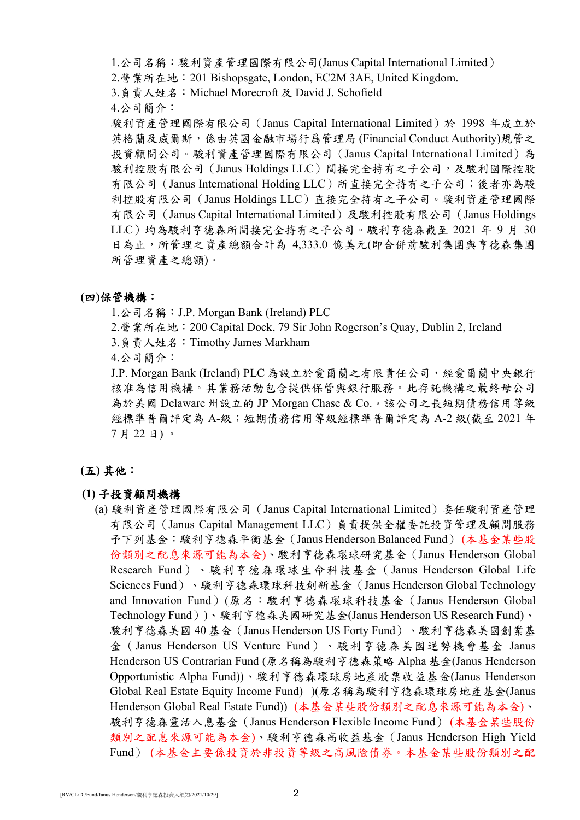1.公司名稱:駿利資產管理國際有限公司(Janus Capital International Limited)

2.營業所在地:201 Bishopsgate, London, EC2M 3AE, United Kingdom.

3.負責人姓名:Michael Morecroft 及 David J. Schofield

4.公司簡介:

駿利資產管理國際有限公司(Janus Capital International Limited)於 1998 年成立於 英格蘭及威爾斯,係由英國金融市場行爲管理局 (Financial Conduct Authority)規管之 投資顧問公司。駿利資產管理國際有限公司(Janus Capital International Limited)為 駿利控股有限公司(Janus Holdings LLC)間接完全持有之子公司,及駿利國際控股 有限公司 (Janus International Holding LLC) 所直接完全持有之子公司;後者亦為駿 利控股有限公司(Janus Holdings LLC)直接完全持有之子公司。駿利資產管理國際 有限公司(Janus Capital International Limited)及駿利控股有限公司(Janus Holdings LLC)均為駿利亨德森所間接完全持有之子公司。駿利亨德森截至 2021 年 9 月 30 日為止,所管理之資產總額合計為 4,333.0 億美元(即合併前駿利集團與亨德森集團 所管理資產之總額)。

## **(**四**)**保管機構:

1.公司名稱:J.P. Morgan Bank (Ireland) PLC

2.營業所在地:200 Capital Dock, 79 Sir John Rogerson's Quay, Dublin 2, Ireland

3.負責人姓名:Timothy James Markham

4.公司簡介:

J.P. Morgan Bank (Ireland) PLC 為設立於愛爾蘭之有限責任公司,經愛爾蘭中央銀行 核准為信用機構。其業務活動包含提供保管與銀行服務。此存託機構之最終母公司 為於美國 Delaware 州設立的 JP Morgan Chase & Co.。該公司之長短期債務信用等級 經標準普爾評定為 A-級;短期債務信用等級經標準普爾評定為 A-2 級(截至 2021 年 7 月 22 日) 。

# **(**五**)** 其他:

## **(1)** 子投資顧問機構

(a) 駿利資產管理國際有限公司(Janus Capital International Limited)委任駿利資產管理 有限公司(Janus Capital Management LLC)負責提供全權委託投資管理及顧問服務 予下列基金:駿利亨德森平衡基金(Janus Henderson Balanced Fund) (本基金某些股 份類別之配息來源可能為本金)、駿利亨德森環球研究基金(Janus Henderson Global Research Fund)、駿利亨德森環球生命科技基金(Janus Henderson Global Life Sciences Fund)、駿利亨德森環球科技創新基金(Janus Henderson Global Technology and Innovation Fund)(原名:駿利亨德森環球科技基金(Janus Henderson Global Technology Fund))、駿利亨德森美國研究基金(Janus Henderson US Research Fund)、 駿利亨德森美國 40 基金(Janus Henderson US Forty Fund)、駿利亨德森美國創業基 金(Janus Henderson US Venture Fund)、駿利亨德森美國逆勢機會基金 Janus Henderson US Contrarian Fund (原名稱為駿利亨德森策略 Alpha 基金(Janus Henderson Opportunistic Alpha Fund))、駿利亨德森環球房地產股票收益基金(Janus Henderson Global Real Estate Equity Income Fund) )(原名稱為駿利亨德森環球房地產基金(Janus Henderson Global Real Estate Fund)) (本基金某些股份類別之配息來源可能為本金)、 駿利亨德森靈活入息基金(Janus Henderson Flexible Income Fund) (本基金某些股份 類別之配息來源可能為本金)、駿利亨德森高收益基金(Janus Henderson High Yield Fund) (本基金主要係投資於非投資等級之高風險債券。本基金某些股份類別之配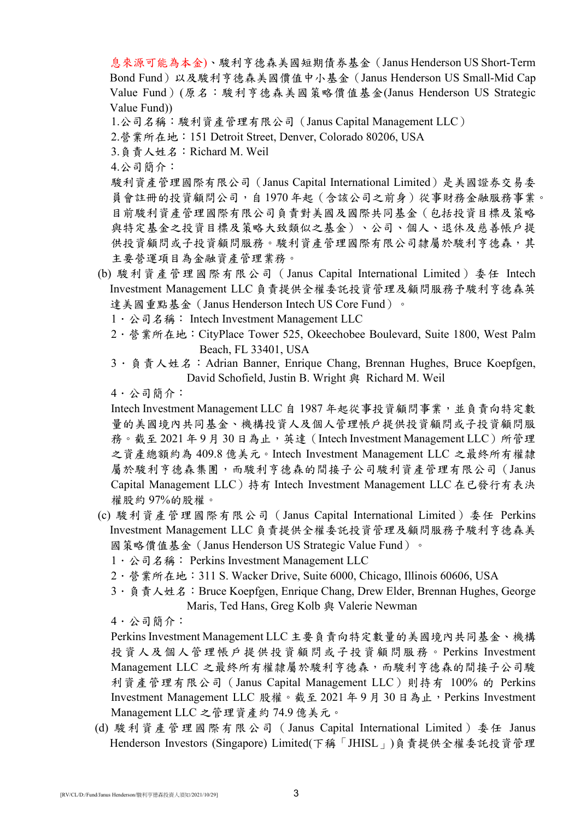息來源可能為本金)、駿利亨德森美國短期債券基金(Janus Henderson US Short-Term Bond Fund)以及駿利亨德森美國價值中小基金(Janus Henderson US Small-Mid Cap Value Fund)(原名:駿利亨德森美國策略價值基金(Janus Henderson US Strategic Value Fund))

- 1.公司名稱:駿利資產管理有限公司(Janus Capital Management LLC)
- 2.營業所在地:151 Detroit Street, Denver, Colorado 80206, USA
- 3.負責人姓名:Richard M. Weil
- 4.公司簡介:

駿利資產管理國際有限公司(Janus Capital International Limited)是美國證券交易委 員會註冊的投資顧問公司,自1970年起(含該公司之前身)從事財務金融服務事業。 目前駿利資產管理國際有限公司負責對美國及國際共同基金(包括投資目標及策略 與特定基金之投資目標及策略大致類似之基金)、公司、個人、退休及慈善帳戶提 供投資顧問或務。駿利資產管理國際有限公司隸屬於駿利亨德森,其 主要營運項目為金融資產管理業務。

- (b) 駿利資產管理國際有限公司(Janus Capital International Limited)委任 Intech Investment Management LLC 負責提供全權委託投資管理及顧問服務予駿利亨德森英 達美國重點基金 (Janus Henderson Intech US Core Fund)。
	- 1. 公司名稱: Intech Investment Management LLC
	- 2.營業所在地:CityPlace Tower 525, Okeechobee Boulevard, Suite 1800, West Palm Beach, FL 33401, USA
	- 3. 負責人姓名: Adrian Banner, Enrique Chang, Brennan Hughes, Bruce Koepfgen, David Schofield, Justin B. Wright 與 Richard M. Weil
	- 4.公司簡介:

Intech Investment Management LLC 自 1987年起從事投資顧問事業,並負責向特定數 量的美國境內共同基金、機構投資人及個人管理帳戶提供投資顧問或子投資顧問服 務。截至 2021年9月30日為止,英達(Intech Investment Management LLC)所管理 之資產總額約為 409.8 億美元。Intech Investment Management LLC 之最終所有權隸 屬於駿利亨德森集團,而駿利亨德森的間接子公司駿利資產管理有限公司(Janus Capital Management LLC)持有 Intech Investment Management LLC 在已發行有表決 權股約 97%的股權。

- (c) 駿利資產管理國際有限公司(Janus Capital International Limited)委任 Perkins Investment Management LLC 負責提供全權委託投資管理及顧問服務予駿利亨德森美 國策略價值基金(Janus Henderson US Strategic Value Fund)。
	- 1 · 公司名稱: Perkins Investment Management LLC
	- 2.營業所在地:311 S. Wacker Drive, Suite 6000, Chicago, Illinois 60606, USA
	- 3. 負責人姓名: Bruce Koepfgen, Enrique Chang, Drew Elder, Brennan Hughes, George Maris, Ted Hans, Greg Kolb 與 Valerie Newman

4.公司簡介:

Perkins Investment Management LLC 主要負責向特定數量的美國境內共同基金、機構 投資人及個人管理帳戶提供投資顧問或子投資顧問服務。Perkins Investment Management LLC 之最終所有權隸屬於駿利亨德森,而駿利亨德森的間接子公司駿 利資產管理有限公司(Janus Capital Management LLC)則持有 100% 的 Perkins Investment Management LLC 股權。截至 2021 年 9 月 30 日為止, Perkins Investment Management LLC 之管理資產約 74.9 億美元。

(d) 駿利資產管理國際有限公司(Janus Capital International Limited)委任 Janus Henderson Investors (Singapore) Limited(下稱「JHISL」)負責提供全權委託投資管理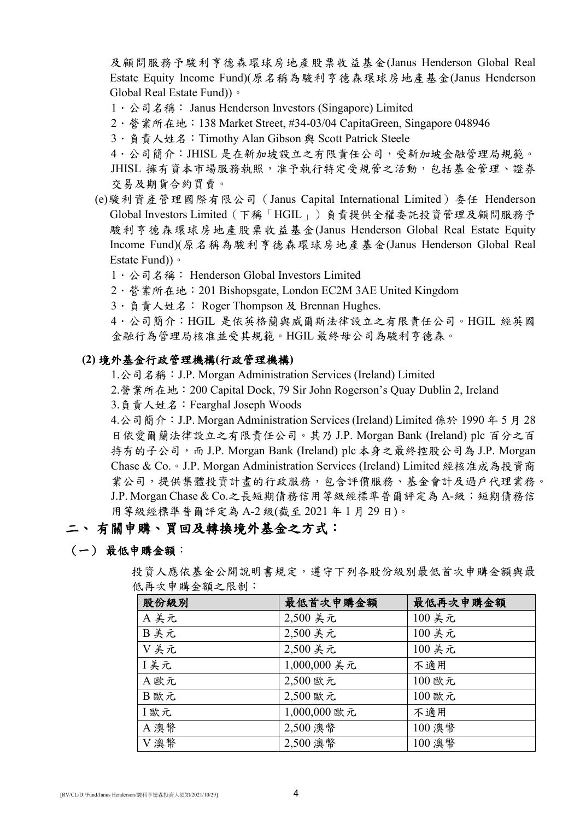及顧問服務予駿利亨德森環球房地產股票收益基金(Janus Henderson Global Real Estate Equity Income Fund)(原名稱為駿利亨德森環球房地產基金(Janus Henderson Global Real Estate Fund))。

- 1. 公司名稱: Janus Henderson Investors (Singapore) Limited
- 2.營業所在地:138 Market Street, #34-03/04 CapitaGreen, Singapore 048946
- 3.負責人姓名:Timothy Alan Gibson 與 Scott Patrick Steele

4 · 公司簡介: JHISL 是在新加坡設立之有限責任公司,受新加坡金融管理局規範。 JHISL 擁有資本市場服務執照,准予執行特定受規管之活動,包括基金管理、證券 交易及期貨合約買賣。

- (e)駿利資產管理國際有限公司(Janus Capital International Limited)委任 Henderson Global Investors Limited(下稱「HGIL」)負責提供全權委託投資管理及顧問服務予 駿利亨德森環球房地產股票收益基金(Janus Henderson Global Real Estate Equity Income Fund)(原名稱為駿利亨德森環球房地產基金(Janus Henderson Global Real Estate Fund))。
	- 1. 公司名稱: Henderson Global Investors Limited
	- 2.營業所在地:201 Bishopsgate, London EC2M 3AE United Kingdom
	- 3. 負責人姓名: Roger Thompson 及 Brennan Hughes.

4.公司簡介:HGIL 是依英格蘭與威爾斯法律設立之有限責任公司。HGIL 經英國 金融行為管理局核准並受其規範。HGIL 最終母公司為駿利亨德森。

## **(2)** 境外基金行政管理機構**(**行政管理機構**)**

1.公司名稱:J.P. Morgan Administration Services (Ireland) Limited

2.營業所在地:200 Capital Dock, 79 Sir John Rogerson's Quay Dublin 2, Ireland

3.負責人姓名:Fearghal Joseph Woods

4.公司簡介:J.P. Morgan Administration Services (Ireland) Limited 係於 1990 年 5 月 28 日依愛爾蘭法律設立之有限責任公司。其乃 J.P. Morgan Bank (Ireland) plc 百分之百 持有的子公司,而 J.P. Morgan Bank (Ireland) plc 本身之最終控股公司為 J.P. Morgan Chase & Co.。J.P. Morgan Administration Services (Ireland) Limited 經核准成為投資商 業公司,提供集體投資計畫的行政服務,包含評價服務、基金會計及過戶代理業務。 J.P. Morgan Chase & Co.之長短期債務信用等級經標準普爾評定為 A-級;短期債務信 用等級經標準普爾評定為 A-2 級(截至 2021 年 1 月 29 日)。

# 二、 有關申購、買回及轉換境外基金之方式:

## (一) 最低申購金額:

| 股份級別 | 最低首次申購金額     | 最低再次申購金額 |
|------|--------------|----------|
| A美元  | 2,500 美元     | 100 美元   |
| B美元  | 2,500 美元     | 100 美元   |
| V美元  | 2,500 美元     | 100 美元   |
| I美元  | 1,000,000 美元 | 不適用      |
| A歐元  | 2,500 歐元     | 100 歐元   |
| B歐元  | 2,500 歐元     | 100 歐元   |
| I歐元  | 1,000,000 歐元 | 不適用      |
| A澳幣  | 2,500 澳幣     | 100 澳幣   |
| V澳幣  | 2,500 澳幣     | 100 澳幣   |

投資人應依基金公開說明書規定,遵守下列各股份級別最低首次申購金額與最 低再次申購金額之限制: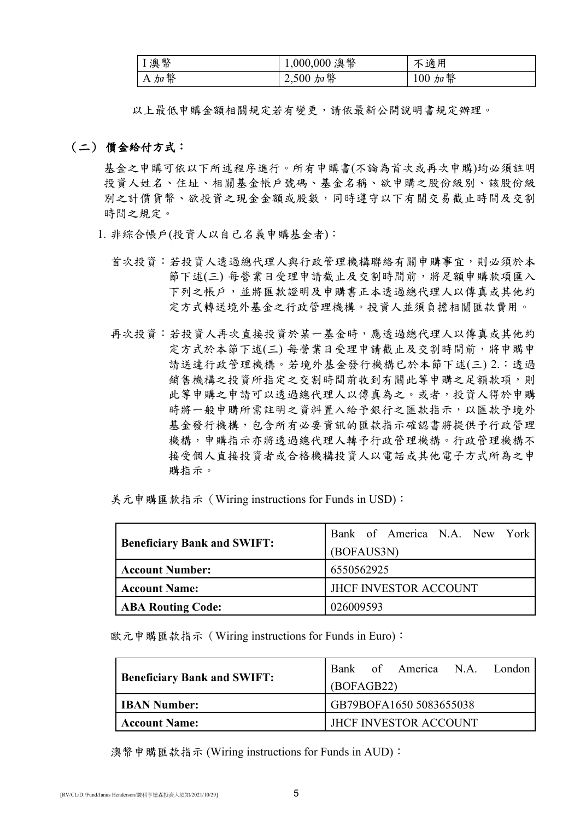| ■ Ⅰ 澳幣 | $1,000,000$ 澳幣 | 不適用    |
|--------|----------------|--------|
| A加幣    | 2,500 加幣       | 100 加幣 |

以上最低申購金額相關規定若有變更,請依最新公開說明書規定辦理。

## (二) 價金給付方式:

基金之申購可依以下所述程序進行。所有申購書(不論為首次或再次申購)均必須註明 投資人姓名、住址、相關基金帳戶號碼、基金名稱、欲申購之股份級別、該股份級 別之計價貨幣、欲投資之現金金額或股數,同時遵守以下有關交易截止時間及交割 時間之規定。

- 1. 非綜合帳戶(投資人以自己名義申購基金者):
	- 首次投資:若投資人透過總代理人與行政管理機構聯絡有關申購事宜,則必須於本 節下述(三) 每營業日受理申請截止及交割時間前,將足額申購款項匯入 下列之帳戶,並將匯款證明及申購書正本透過總代理人以傳真或其他約 定方式轉送境外基金之行政管理機構。投資人並須負擔相關匯款費用。
	- 再次投資:若投資人再接投資於某一基金時,應透過總代理人以傳真或其他約 定方式於本節下述(三) 每營業日受理申請截止及交割時間前,將申購申 請送達行政管理機構。若境外基金發行機構已於本節下述(三) 2.:透過 銷售機構之投資所指定之交割時間前收到有關此等申購之足額款項,則 此等申購之申請可以透過總代理人以傳真為之。或者,投資人得於申購 時將一般申購所需註明之資料置入給予銀行之匯款指示,以匯款予境外 基金發行機構,包含所有必要資訊的匯款指示確認書將提供予行政管理 機構,申購指示亦將透過總代理人轉予行政管理機構。行政管理機構不 接受個人直接投資者或合格機構投資人以電話或其他電子方式所為之申 購指示。

美元申購匯款指示(Wiring instructions for Funds in USD):

|                                                      | Bank of America N.A. New York |  |  |
|------------------------------------------------------|-------------------------------|--|--|
| <b>Beneficiary Bank and SWIFT:</b>                   | (BOFAUS3N)                    |  |  |
| <b>Account Number:</b>                               | 6550562925                    |  |  |
| <b>JHCF INVESTOR ACCOUNT</b><br><b>Account Name:</b> |                               |  |  |
| <b>ABA Routing Code:</b>                             | 026009593                     |  |  |

歐元申購匯款指示(Wiring instructions for Funds in Euro):

|                                    |                         |  | Bank of America N.A. London  |  |  |
|------------------------------------|-------------------------|--|------------------------------|--|--|
| <b>Beneficiary Bank and SWIFT:</b> | (BOFAGB22)              |  |                              |  |  |
| <b>IBAN Number:</b>                | GB79BOFA1650 5083655038 |  |                              |  |  |
| <b>Account Name:</b>               |                         |  | <b>IHCF INVESTOR ACCOUNT</b> |  |  |

澳幣申購匯款指示 (Wiring instructions for Funds in AUD):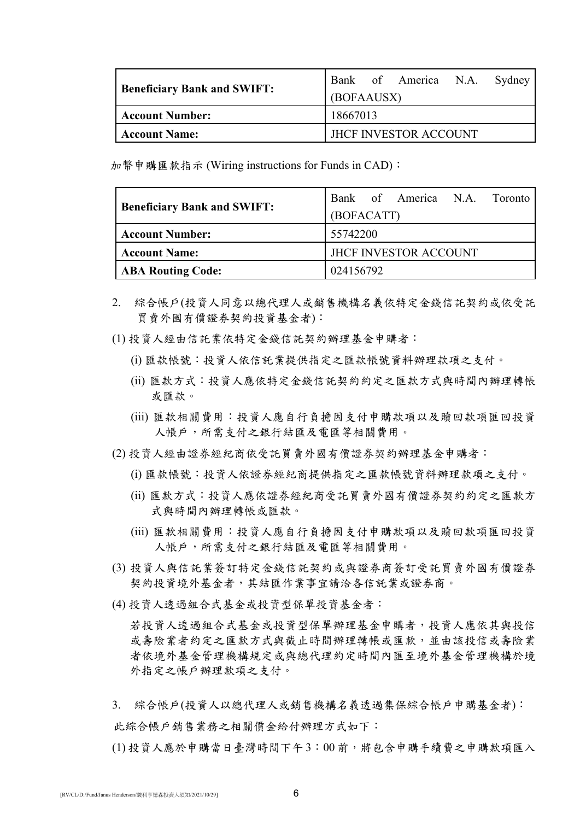|                                    |            |  | Bank of America N.A. Sydney   |  |
|------------------------------------|------------|--|-------------------------------|--|
| <b>Beneficiary Bank and SWIFT:</b> | (BOFAAUSX) |  |                               |  |
| <b>Account Number:</b>             | 18667013   |  |                               |  |
| <b>Account Name:</b>               |            |  | <b>IFICE INVESTOR ACCOUNT</b> |  |

加幣申購匯款指示 (Wiring instructions for Funds in CAD):

|                                    | Bank of America N.A. Toronto |
|------------------------------------|------------------------------|
| <b>Beneficiary Bank and SWIFT:</b> | (BOFACATT)                   |
| <b>Account Number:</b>             | 55742200                     |
| <b>Account Name:</b>               | <b>JHCF INVESTOR ACCOUNT</b> |
| <b>ABA Routing Code:</b>           | 024156792                    |

- 2. 綜合帳戶(投資人同意以總代理人或銷售機構名義依特定金錢信託契約或依受託 買賣外國有價證券契約投資基金者):
- (1) 投資人經由信託業依特定金錢信託契約辦理基金申購者:
	- (i) 匯款帳號:投資人依信託業提供指定之匯款帳號資料辦理款項之支付。
	- (ii) 匯款方式:投資人應依特定金錢信託契約約定之匯款方式與時間內辦理轉帳 或匯款。
	- (iii) 匯款相關費用:投資人應自行負擔因支付申購款項以及贖回款項匯回投資 人帳戶,所需支付之銀行結匯及電匯等相關費用。
- (2) 投資人經由證券經紀商依受託買賣外國有價證券契約辦理基金申購者:
	- (i) 匯款帳號:投資人依證券經紀商提供指定之匯款帳號資料辦理款項之支付。
	- (ii) 匯款方式:投資人應依證券經紀商受託買賣外國有價證券契約約定之匯款方 式與時間內辦理轉帳或匯款。
	- (iii) 匯款相關費用:投資人應自行負擔因支付申購款項以及贖回款項匯回投資 人帳戶,所需支付之銀行結匯及電匯等相關費用。
- (3) 投資人與信託業簽訂特定金錢信託契約或與證券商簽訂受託買賣外國有價證券 契約投資境外基金者,其結匯作業事宜請洽各信託業或證券商。
- (4) 投資人透過組合式基金或投資型保單投資基金者:

若投資人透過組合式基金或投資型保單辦理基金申購者,投資人應依其與投信 或壽險業者約定之匯款方式與截止時間辦理轉帳或匯款,並由該投信或壽險業 者依境外基金管理機構規定或與總代理約定時間內匯至境外基金管理機構於境 外指定之帳戶辦理款項之支付。

- 3. 綜合帳戶(投資人以總代理人或銷售機構名義透過集保綜合帳戶申購基金者): 此綜合帳戶銷售業務之相關價金給付辦理方式如下:
- (1) 投資人應於申購當日臺灣時間下午3:00 前,將包含申購手續費之申購款項匯入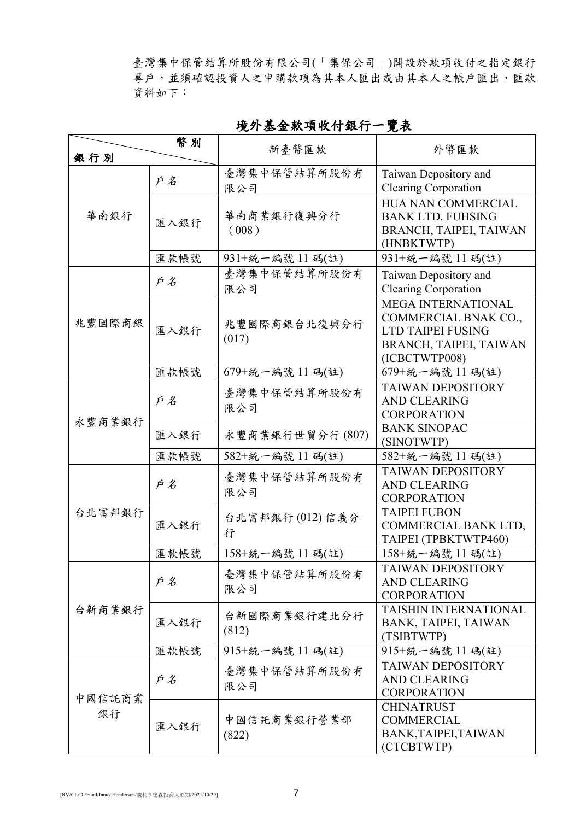臺灣集中保管結算所股份有限公司(「集保公司」)開設於款項收付之指定銀行 專戶,並須確認投資人之申購款項為其本人匯出或由其本人之帳戶匯出,匯款 資料如下:

| 臺灣集中保管結算所股份有<br>Taiwan Depository and<br>戶名<br><b>Clearing Corporation</b><br>限公司<br>HUA NAN COMMERCIAL<br>華南銀行<br>華南商業銀行復興分行<br><b>BANK LTD. FUHSING</b><br>匯入銀行<br>(008)<br>BRANCH, TAIPEI, TAIWAN<br>(HNBKTWTP)<br>匯款帳號<br>931+統一編號 11 碼(註)<br>931+統一編號 11碼(註)<br>臺灣集中保管結算所股份有<br>Taiwan Depository and<br>戶名<br><b>Clearing Corporation</b><br>限公司<br><b>MEGA INTERNATIONAL</b><br>COMMERCIAL BNAK CO.,<br>兆豐國際商銀<br>兆豐國際商銀台北復興分行<br>匯入銀行<br>LTD TAIPEI FUSING<br>(017)<br>BRANCH, TAIPEI, TAIWAN<br>(ICBCTWTP008)<br>679+統一編號 11碼(註)<br>匯款帳號<br>679+統一編號 11 碼(註)<br><b>TAIWAN DEPOSITORY</b><br>臺灣集中保管結算所股份有<br>戶名<br><b>AND CLEARING</b><br>限公司<br><b>CORPORATION</b><br>永豐商業銀行<br><b>BANK SINOPAC</b><br>永豐商業銀行世貿分行(807)<br>匯入銀行<br>(SINOTWTP)<br>匯款帳號<br>582+統一編號 11碼(註)<br>582+統一編號 11碼(註)<br><b>TAIWAN DEPOSITORY</b><br>臺灣集中保管結算所股份有<br>戶名<br><b>AND CLEARING</b><br>限公司<br><b>CORPORATION</b><br>台北富邦銀行<br><b>TAIPEI FUBON</b><br>台北富邦銀行(012)信義分<br>匯入銀行<br>COMMERCIAL BANK LTD,<br>行<br>TAIPEI (TPBKTWTP460)<br>匯款帳號<br>158+統一編號 11 碼(註)<br>158+統一編號 11 碼(註)<br>TAIWAN DEPOSITORY<br>臺灣集中保管結算所股份有<br>戶名<br><b>AND CLEARING</b><br>限公司<br><b>CORPORATION</b><br><b>TAISHIN INTERNATIONAL</b><br>台新商業銀行<br>台新國際商業銀行建北分行<br>匯入銀行<br>BANK, TAIPEI, TAIWAN<br>(812)<br>(TSIBTWTP)<br>匯款帳號<br>915+統一編號 11 碼(註)<br>915+統一編號 11 碼(註)<br><b>TAIWAN DEPOSITORY</b><br>臺灣集中保管結算所股份有<br>戶名<br><b>AND CLEARING</b><br>限公司<br><b>CORPORATION</b><br>中國信託商業<br><b>CHINATRUST</b><br>銀行<br>中國信託商業銀行營業部<br><b>COMMERCIAL</b><br>匯入銀行<br>BANK, TAIPEI, TAIWAN<br>(822) |     | 幣別 | 新臺幣匯款 | 外幣匯款       |  |
|-------------------------------------------------------------------------------------------------------------------------------------------------------------------------------------------------------------------------------------------------------------------------------------------------------------------------------------------------------------------------------------------------------------------------------------------------------------------------------------------------------------------------------------------------------------------------------------------------------------------------------------------------------------------------------------------------------------------------------------------------------------------------------------------------------------------------------------------------------------------------------------------------------------------------------------------------------------------------------------------------------------------------------------------------------------------------------------------------------------------------------------------------------------------------------------------------------------------------------------------------------------------------------------------------------------------------------------------------------------------------------------------------------------------------------------------------------------------------------------------------------------------------------------------------------------------|-----|----|-------|------------|--|
|                                                                                                                                                                                                                                                                                                                                                                                                                                                                                                                                                                                                                                                                                                                                                                                                                                                                                                                                                                                                                                                                                                                                                                                                                                                                                                                                                                                                                                                                                                                                                                   | 銀行別 |    |       |            |  |
|                                                                                                                                                                                                                                                                                                                                                                                                                                                                                                                                                                                                                                                                                                                                                                                                                                                                                                                                                                                                                                                                                                                                                                                                                                                                                                                                                                                                                                                                                                                                                                   |     |    |       |            |  |
|                                                                                                                                                                                                                                                                                                                                                                                                                                                                                                                                                                                                                                                                                                                                                                                                                                                                                                                                                                                                                                                                                                                                                                                                                                                                                                                                                                                                                                                                                                                                                                   |     |    |       |            |  |
|                                                                                                                                                                                                                                                                                                                                                                                                                                                                                                                                                                                                                                                                                                                                                                                                                                                                                                                                                                                                                                                                                                                                                                                                                                                                                                                                                                                                                                                                                                                                                                   |     |    |       |            |  |
|                                                                                                                                                                                                                                                                                                                                                                                                                                                                                                                                                                                                                                                                                                                                                                                                                                                                                                                                                                                                                                                                                                                                                                                                                                                                                                                                                                                                                                                                                                                                                                   |     |    |       |            |  |
|                                                                                                                                                                                                                                                                                                                                                                                                                                                                                                                                                                                                                                                                                                                                                                                                                                                                                                                                                                                                                                                                                                                                                                                                                                                                                                                                                                                                                                                                                                                                                                   |     |    |       |            |  |
|                                                                                                                                                                                                                                                                                                                                                                                                                                                                                                                                                                                                                                                                                                                                                                                                                                                                                                                                                                                                                                                                                                                                                                                                                                                                                                                                                                                                                                                                                                                                                                   |     |    |       |            |  |
|                                                                                                                                                                                                                                                                                                                                                                                                                                                                                                                                                                                                                                                                                                                                                                                                                                                                                                                                                                                                                                                                                                                                                                                                                                                                                                                                                                                                                                                                                                                                                                   |     |    |       |            |  |
|                                                                                                                                                                                                                                                                                                                                                                                                                                                                                                                                                                                                                                                                                                                                                                                                                                                                                                                                                                                                                                                                                                                                                                                                                                                                                                                                                                                                                                                                                                                                                                   |     |    |       |            |  |
|                                                                                                                                                                                                                                                                                                                                                                                                                                                                                                                                                                                                                                                                                                                                                                                                                                                                                                                                                                                                                                                                                                                                                                                                                                                                                                                                                                                                                                                                                                                                                                   |     |    |       |            |  |
|                                                                                                                                                                                                                                                                                                                                                                                                                                                                                                                                                                                                                                                                                                                                                                                                                                                                                                                                                                                                                                                                                                                                                                                                                                                                                                                                                                                                                                                                                                                                                                   |     |    |       |            |  |
|                                                                                                                                                                                                                                                                                                                                                                                                                                                                                                                                                                                                                                                                                                                                                                                                                                                                                                                                                                                                                                                                                                                                                                                                                                                                                                                                                                                                                                                                                                                                                                   |     |    |       |            |  |
|                                                                                                                                                                                                                                                                                                                                                                                                                                                                                                                                                                                                                                                                                                                                                                                                                                                                                                                                                                                                                                                                                                                                                                                                                                                                                                                                                                                                                                                                                                                                                                   |     |    |       |            |  |
|                                                                                                                                                                                                                                                                                                                                                                                                                                                                                                                                                                                                                                                                                                                                                                                                                                                                                                                                                                                                                                                                                                                                                                                                                                                                                                                                                                                                                                                                                                                                                                   |     |    |       |            |  |
|                                                                                                                                                                                                                                                                                                                                                                                                                                                                                                                                                                                                                                                                                                                                                                                                                                                                                                                                                                                                                                                                                                                                                                                                                                                                                                                                                                                                                                                                                                                                                                   |     |    |       |            |  |
|                                                                                                                                                                                                                                                                                                                                                                                                                                                                                                                                                                                                                                                                                                                                                                                                                                                                                                                                                                                                                                                                                                                                                                                                                                                                                                                                                                                                                                                                                                                                                                   |     |    |       |            |  |
|                                                                                                                                                                                                                                                                                                                                                                                                                                                                                                                                                                                                                                                                                                                                                                                                                                                                                                                                                                                                                                                                                                                                                                                                                                                                                                                                                                                                                                                                                                                                                                   |     |    |       |            |  |
|                                                                                                                                                                                                                                                                                                                                                                                                                                                                                                                                                                                                                                                                                                                                                                                                                                                                                                                                                                                                                                                                                                                                                                                                                                                                                                                                                                                                                                                                                                                                                                   |     |    |       |            |  |
|                                                                                                                                                                                                                                                                                                                                                                                                                                                                                                                                                                                                                                                                                                                                                                                                                                                                                                                                                                                                                                                                                                                                                                                                                                                                                                                                                                                                                                                                                                                                                                   |     |    |       |            |  |
|                                                                                                                                                                                                                                                                                                                                                                                                                                                                                                                                                                                                                                                                                                                                                                                                                                                                                                                                                                                                                                                                                                                                                                                                                                                                                                                                                                                                                                                                                                                                                                   |     |    |       |            |  |
|                                                                                                                                                                                                                                                                                                                                                                                                                                                                                                                                                                                                                                                                                                                                                                                                                                                                                                                                                                                                                                                                                                                                                                                                                                                                                                                                                                                                                                                                                                                                                                   |     |    |       |            |  |
|                                                                                                                                                                                                                                                                                                                                                                                                                                                                                                                                                                                                                                                                                                                                                                                                                                                                                                                                                                                                                                                                                                                                                                                                                                                                                                                                                                                                                                                                                                                                                                   |     |    |       |            |  |
|                                                                                                                                                                                                                                                                                                                                                                                                                                                                                                                                                                                                                                                                                                                                                                                                                                                                                                                                                                                                                                                                                                                                                                                                                                                                                                                                                                                                                                                                                                                                                                   |     |    |       |            |  |
|                                                                                                                                                                                                                                                                                                                                                                                                                                                                                                                                                                                                                                                                                                                                                                                                                                                                                                                                                                                                                                                                                                                                                                                                                                                                                                                                                                                                                                                                                                                                                                   |     |    |       |            |  |
|                                                                                                                                                                                                                                                                                                                                                                                                                                                                                                                                                                                                                                                                                                                                                                                                                                                                                                                                                                                                                                                                                                                                                                                                                                                                                                                                                                                                                                                                                                                                                                   |     |    |       |            |  |
|                                                                                                                                                                                                                                                                                                                                                                                                                                                                                                                                                                                                                                                                                                                                                                                                                                                                                                                                                                                                                                                                                                                                                                                                                                                                                                                                                                                                                                                                                                                                                                   |     |    |       |            |  |
|                                                                                                                                                                                                                                                                                                                                                                                                                                                                                                                                                                                                                                                                                                                                                                                                                                                                                                                                                                                                                                                                                                                                                                                                                                                                                                                                                                                                                                                                                                                                                                   |     |    |       |            |  |
|                                                                                                                                                                                                                                                                                                                                                                                                                                                                                                                                                                                                                                                                                                                                                                                                                                                                                                                                                                                                                                                                                                                                                                                                                                                                                                                                                                                                                                                                                                                                                                   |     |    |       |            |  |
|                                                                                                                                                                                                                                                                                                                                                                                                                                                                                                                                                                                                                                                                                                                                                                                                                                                                                                                                                                                                                                                                                                                                                                                                                                                                                                                                                                                                                                                                                                                                                                   |     |    |       |            |  |
|                                                                                                                                                                                                                                                                                                                                                                                                                                                                                                                                                                                                                                                                                                                                                                                                                                                                                                                                                                                                                                                                                                                                                                                                                                                                                                                                                                                                                                                                                                                                                                   |     |    |       |            |  |
|                                                                                                                                                                                                                                                                                                                                                                                                                                                                                                                                                                                                                                                                                                                                                                                                                                                                                                                                                                                                                                                                                                                                                                                                                                                                                                                                                                                                                                                                                                                                                                   |     |    |       |            |  |
|                                                                                                                                                                                                                                                                                                                                                                                                                                                                                                                                                                                                                                                                                                                                                                                                                                                                                                                                                                                                                                                                                                                                                                                                                                                                                                                                                                                                                                                                                                                                                                   |     |    |       |            |  |
|                                                                                                                                                                                                                                                                                                                                                                                                                                                                                                                                                                                                                                                                                                                                                                                                                                                                                                                                                                                                                                                                                                                                                                                                                                                                                                                                                                                                                                                                                                                                                                   |     |    |       |            |  |
|                                                                                                                                                                                                                                                                                                                                                                                                                                                                                                                                                                                                                                                                                                                                                                                                                                                                                                                                                                                                                                                                                                                                                                                                                                                                                                                                                                                                                                                                                                                                                                   |     |    |       |            |  |
|                                                                                                                                                                                                                                                                                                                                                                                                                                                                                                                                                                                                                                                                                                                                                                                                                                                                                                                                                                                                                                                                                                                                                                                                                                                                                                                                                                                                                                                                                                                                                                   |     |    |       |            |  |
|                                                                                                                                                                                                                                                                                                                                                                                                                                                                                                                                                                                                                                                                                                                                                                                                                                                                                                                                                                                                                                                                                                                                                                                                                                                                                                                                                                                                                                                                                                                                                                   |     |    |       |            |  |
|                                                                                                                                                                                                                                                                                                                                                                                                                                                                                                                                                                                                                                                                                                                                                                                                                                                                                                                                                                                                                                                                                                                                                                                                                                                                                                                                                                                                                                                                                                                                                                   |     |    |       |            |  |
|                                                                                                                                                                                                                                                                                                                                                                                                                                                                                                                                                                                                                                                                                                                                                                                                                                                                                                                                                                                                                                                                                                                                                                                                                                                                                                                                                                                                                                                                                                                                                                   |     |    |       |            |  |
|                                                                                                                                                                                                                                                                                                                                                                                                                                                                                                                                                                                                                                                                                                                                                                                                                                                                                                                                                                                                                                                                                                                                                                                                                                                                                                                                                                                                                                                                                                                                                                   |     |    |       |            |  |
|                                                                                                                                                                                                                                                                                                                                                                                                                                                                                                                                                                                                                                                                                                                                                                                                                                                                                                                                                                                                                                                                                                                                                                                                                                                                                                                                                                                                                                                                                                                                                                   |     |    |       | (CTCBTWTP) |  |

境外基金款項收付銀行一覽表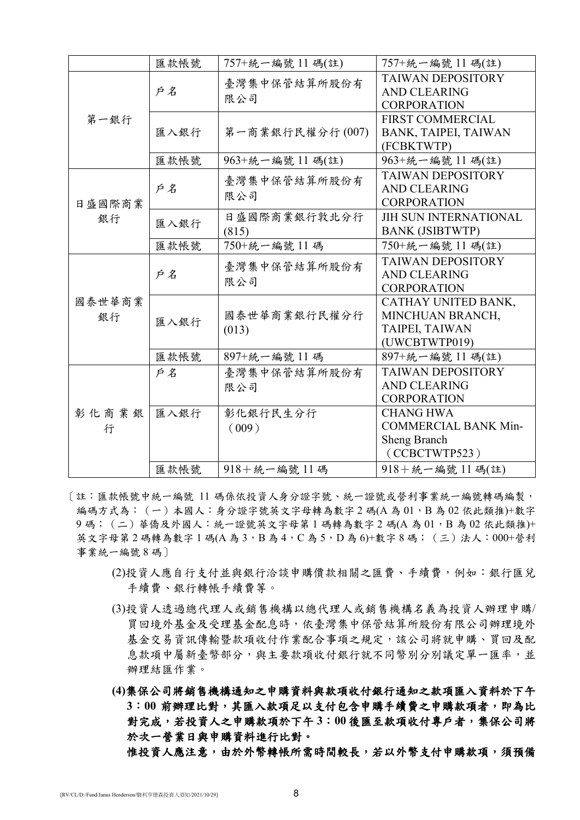|        | 匯款帳號 | 757+統一編號 11碼(註)       | 757+統一編號 11 碼(註)                                                                                                                                                                                                                                                                                                                                                              |  |  |
|--------|------|-----------------------|-------------------------------------------------------------------------------------------------------------------------------------------------------------------------------------------------------------------------------------------------------------------------------------------------------------------------------------------------------------------------------|--|--|
|        |      |                       | <b>TAIWAN DEPOSITORY</b>                                                                                                                                                                                                                                                                                                                                                      |  |  |
|        | 戶名   | 限公司                   | <b>AND CLEARING</b>                                                                                                                                                                                                                                                                                                                                                           |  |  |
|        |      |                       | <b>CORPORATION</b>                                                                                                                                                                                                                                                                                                                                                            |  |  |
| 第一銀行   |      |                       | <b>FIRST COMMERCIAL</b>                                                                                                                                                                                                                                                                                                                                                       |  |  |
|        | 匯入銀行 | 第一商業銀行民權分行(007)       | BANK, TAIPEI, TAIWAN                                                                                                                                                                                                                                                                                                                                                          |  |  |
|        |      |                       | (FCBKTWTP)                                                                                                                                                                                                                                                                                                                                                                    |  |  |
|        | 匯款帳號 | 963+統一編號 11 碼(註)      | 963+統一編號 11碼(註)                                                                                                                                                                                                                                                                                                                                                               |  |  |
|        |      |                       | <b>TAIWAN DEPOSITORY</b>                                                                                                                                                                                                                                                                                                                                                      |  |  |
|        | 戶名   | 限公司                   | <b>AND CLEARING</b>                                                                                                                                                                                                                                                                                                                                                           |  |  |
| 日盛國際商業 |      |                       | <b>CORPORATION</b>                                                                                                                                                                                                                                                                                                                                                            |  |  |
| 銀行     | 匯入銀行 | 日盛國際商業銀行敦北分行          | <b>JIH SUN INTERNATIONAL</b>                                                                                                                                                                                                                                                                                                                                                  |  |  |
|        |      | (815)                 |                                                                                                                                                                                                                                                                                                                                                                               |  |  |
|        | 匯款帳號 | 750+統一編號 11碼          | 750+統一編號 11 碼(註)                                                                                                                                                                                                                                                                                                                                                              |  |  |
|        |      |                       | <b>TAIWAN DEPOSITORY</b>                                                                                                                                                                                                                                                                                                                                                      |  |  |
|        | 戶名   | 限公司                   | <b>AND CLEARING</b>                                                                                                                                                                                                                                                                                                                                                           |  |  |
|        |      |                       | 臺灣集中保管結算所股份有<br>臺灣集中保管結算所股份有<br><b>BANK (JSIBTWTP)</b><br>臺灣集中保管結算所股份有<br><b>CORPORATION</b><br>CATHAY UNITED BANK,<br>MINCHUAN BRANCH,<br>TAIPEI, TAIWAN<br>(UWCBTWTP019)<br>897+統一編號 11碼(註)<br><b>TAIWAN DEPOSITORY</b><br><b>AND CLEARING</b><br><b>CORPORATION</b><br><b>CHANG HWA</b><br><b>COMMERCIAL BANK Min-</b><br>Sheng Branch<br>(CCBCTWTP523)<br>918+統一編號 11碼(註) |  |  |
| 國泰世華商業 |      |                       |                                                                                                                                                                                                                                                                                                                                                                               |  |  |
| 銀行     | 匯入銀行 | 國泰世華商業銀行民權分行          |                                                                                                                                                                                                                                                                                                                                                                               |  |  |
|        |      | (013)                 |                                                                                                                                                                                                                                                                                                                                                                               |  |  |
|        |      |                       |                                                                                                                                                                                                                                                                                                                                                                               |  |  |
|        | 匯款帳號 | 897+統一編號 11碼          |                                                                                                                                                                                                                                                                                                                                                                               |  |  |
|        | 戶名   | 臺灣集中保管結算所股份有          |                                                                                                                                                                                                                                                                                                                                                                               |  |  |
|        |      | 限公司                   |                                                                                                                                                                                                                                                                                                                                                                               |  |  |
|        |      |                       |                                                                                                                                                                                                                                                                                                                                                                               |  |  |
| 彰化商業銀  | 匯入銀行 | 彰化銀行民生分行              |                                                                                                                                                                                                                                                                                                                                                                               |  |  |
| 行      |      | (009)                 |                                                                                                                                                                                                                                                                                                                                                                               |  |  |
|        |      |                       |                                                                                                                                                                                                                                                                                                                                                                               |  |  |
|        |      |                       |                                                                                                                                                                                                                                                                                                                                                                               |  |  |
|        | 匯款帳號 | $918 + 56 - 56$ 號 11碼 |                                                                                                                                                                                                                                                                                                                                                                               |  |  |

- [註:匯款帳號中統一編號 11 碼係依投資人身分證字號、統一證號或營利事業統一編號轉碼編製, 編碼方式為: (一)本國人:身分證字號英文字母轉為數字 2 碼(A 為 01,B 為 02 依此類推)+數字 9碼;(二)華僑及外國人:統一證號英文字母第 1 碼轉為數字 2 碼(A 為 01, B 為 02 依此類推)+ 英文字母第 2 碼轉為數字 1 碼(A 為 3, B 為 4, C 為 5, D 為 6)+數字 8 碼; (三)法人: 000+營利 事業統一編號 8 碼]
	- (2)投資人應自行支付並與銀行洽談申購價款相關之匯費、手續費,例如:銀行匯兌 手續費、銀行轉帳手續費等。
	- (3)投資人透過總代理人或銷售機構以總代理人或銷售機構名義為投資人辦理申購/ 買回境外基金及受理基金配息時,依臺灣集中保管結算所股份有限公司辦理境外 基金交易資訊傳輸暨款項收付作業配合事項之規定,該公司將就申購、買回及配 息款項中屬新臺幣部分,與主要款項收付銀行就不同幣別分別議定單一匯率,並 辦理結匯作業。
	- **(4)**集保公司將銷售機構通知之申購資料與款項收付銀行通知之款項匯入資料於下午 3:00 前辦理比對,其匯入款項足以支付包含申購手續費之申購款項者,即為比 對完成,若投資人之申購款項於下午 **3**:**00** 後匯至款項收付專戶者,集保公司將 於次一營業日與申購資料進行比對。

惟投資人應注意,由於外幣轉帳所需時間較長,若以外幣支付申購款項,須預備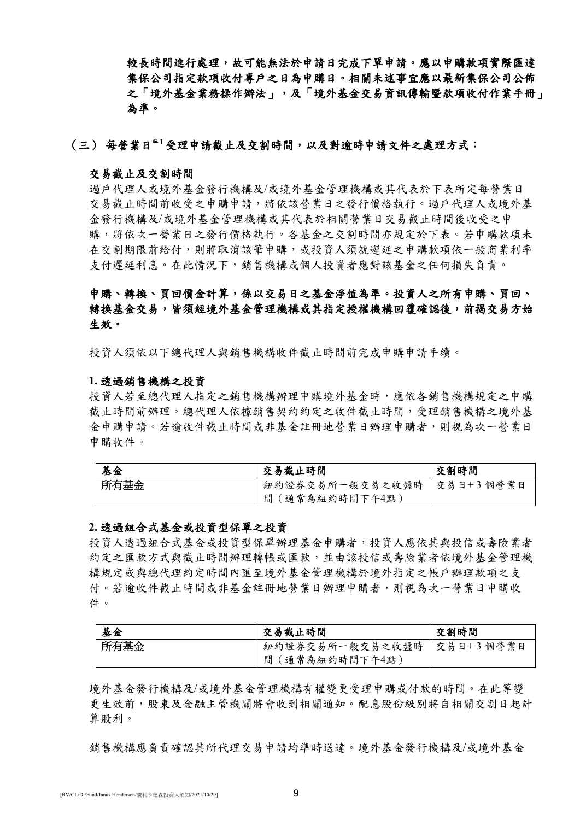較長時間進行處理,故可能無法於申請日完成下單申請。應以申購款項實際匯達 集保公司指定款項收付專戶之日為申購日。相關未述事宜應以最新集保公司公佈 之「境外基金業務操作辦法」,及「境外基金交易資訊傳輸暨款項收付作業手冊」 為準。

### (三) 每營業日<sup>#1</sup>受理申請截止及交割時間,以及對逾時申請文件之處理方式:

#### 交易截止及交割時間

過戶代理人或境外基金發行機構及/或境外基金管理機構或其代表於下表所定每營業日 交易截止時間前收受之申購申請,將依該營業日之發行價格執行。過戶代理人或境外基 金發行機構及/或境外基金管理機構或其代表於相關營業日交易截止時間後收受之申 購,將依次一營業日之發行價格執行。各基金之交割時間亦規定於下表。若申購款項未 在交割期限前給付,則將取消該筆申購,或投資人須就遲延之申購款項依一般商業利率 支付遲延利息。在此情況下,銷售機構或個人投資者應對該基金之任何損失負責。

# 申購、轉換、買回價金計算,係以交易日之基金淨值為準。投資人之所有申購、買回、 轉換基金交易,皆須經境外基金管理機構或其指定授權機構回覆確認後,前揭交易方始 生效。

投資人須依以下總代理人與銷售機構收件截止時間前完成申購申請手續。

### **1.** 透過銷售機構之投資

投資人若至總代理人指定之銷售機構辦理申購境外基金時,應依各銷售機構規定之申購 截止時間前辦理。總代理人依據銷售契約約定之收件截止時間,受理銷售機構之境外基 金申購申請。若逾收件截止時間或非基金註冊地營業日辦理申購者,則視為次一營業日 申購收件。

| 基金   | 交易截止時間                      | 交割時間 |
|------|-----------------------------|------|
| 所有基金 | 紐約證券交易所一般交易之收盤時   交易日+3個營業日 |      |
|      | 間 (通常為紐約時間下午4點)             |      |

### **2.** 透過組合式基金或投資型保單之投資

投資人透過組合式基金或投資型保單辦理基金申購者,投資人應依其與投信或壽險業者 約定之匯款方式與截止時間辦理轉帳或匯款,並由該投信或壽險業者依境外基金管理機 構規定或與總代理約定時間內匯至境外基金管理機構於境外指定之帳戶辦理款項之支 付。若逾收件截止時間或非基金註冊地營業日辦理申購者,則視為次一營業日申購收 件。

| 基金   | 交易截止時間                      | 交割時間 |
|------|-----------------------------|------|
| 所有基金 | 紐約證券交易所一般交易之收盤時   交易日+3個營業日 |      |
|      | 間 (通常為紐約時間下午4點)             |      |

境外基金發行機構及/或境外基金管理機構有權變更受理申購或付款的時間。在此等變 更生效前,股東及金融主管機關將會收到相關通知。配息股份級別將自相關交割日起計 算股利。

銷售機構應負責確認其所代理交易申請均準時送達。境外基金發行機構及/或境外基金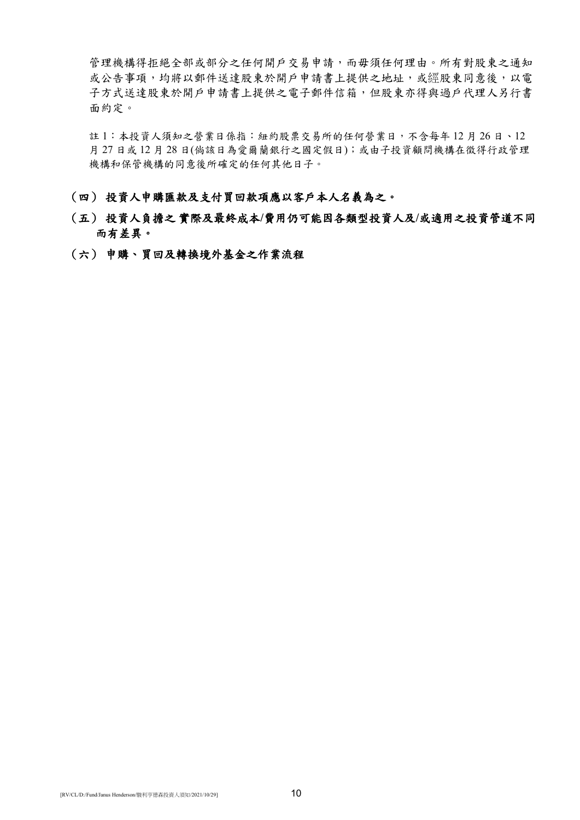管理機構得拒絕全部或部分之任何開戶交易申請,而毋須任何理由。所有對股東之通知 或公告事項,均將以郵件送達股東於開戶申請書上提供之地址,或經股東同意後,以電 子方式送達股東於開戶申請書上提供之電子郵件信箱,但股東亦得與過戶代理人另行書 面約定。

註 1:本投資人須知之營業日係指:紐約股票交易所的任何營業日,不含每年 12 月 26 日、12 月 27 日或 12 月 28 日(倘該日為愛爾蘭銀行之國定假日);或由子投資顧問機構在徵得行政管理 機構和保管機構的同意後所確定的任何其他日子。

## (四) 投資人申購匯款及支付買回款項應以客戶本人名義為之。

# (五) 投資人負擔之 實際及最終成本**/**費用仍可能因各類型投資人及**/**或適用之投資管道不同 而有差異。

(六) 申購、買回及轉換境外基金之作業流程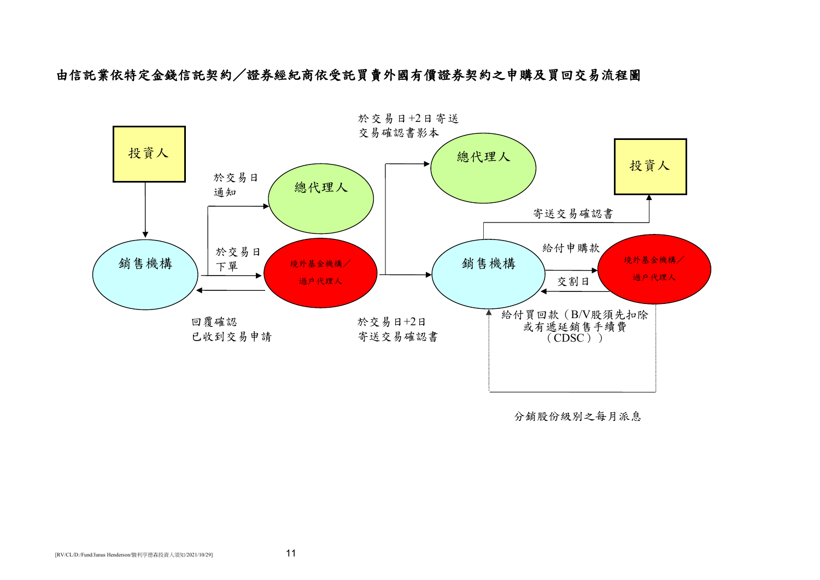由信託業依特定金錢信託契約/證券經紀商依受託買賣外國有價證券契約之申購及買回交易流程圖



分銷股份級別之每月派息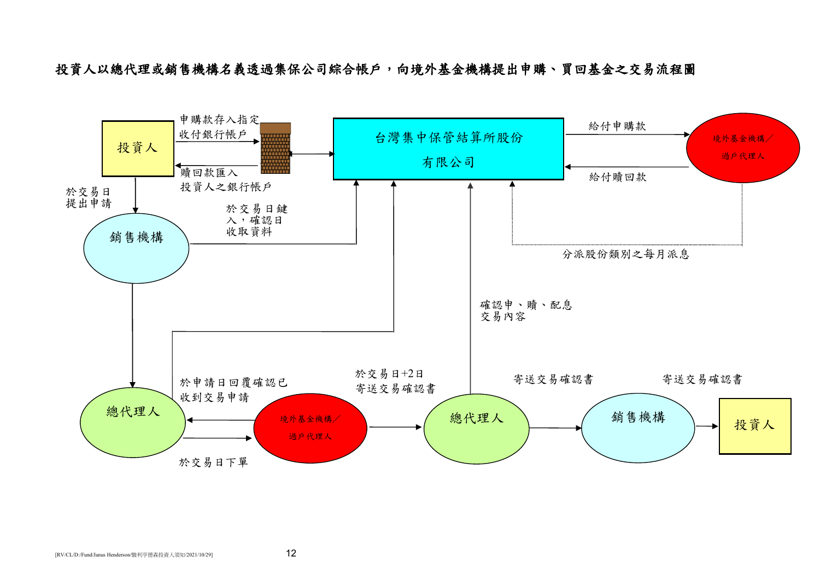投資人以總代理或銷售機構名義透過集保公司綜合帳戶,向境外基金機構提出申購、買回基金之交易流程圖

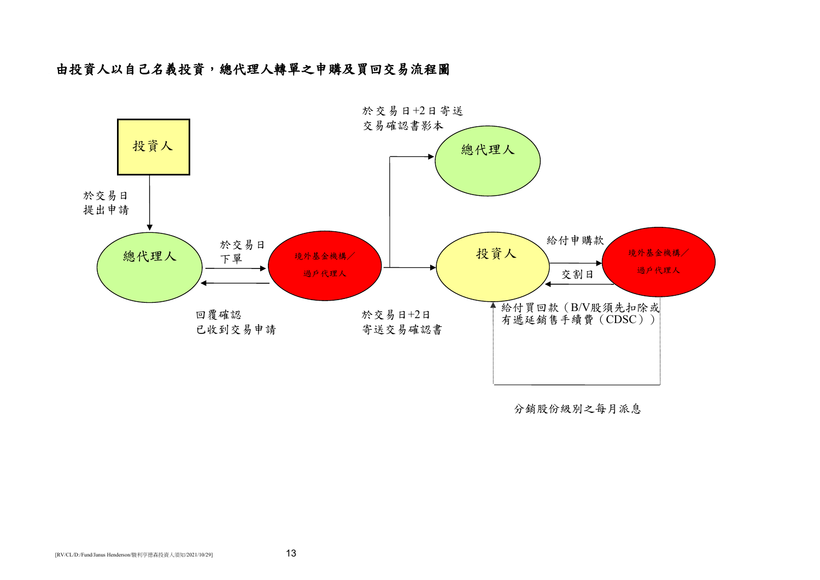# 由投資人以自己名義投資,總代理人轉單之申購及買回交易流程圖



分銷股份級別之每月派息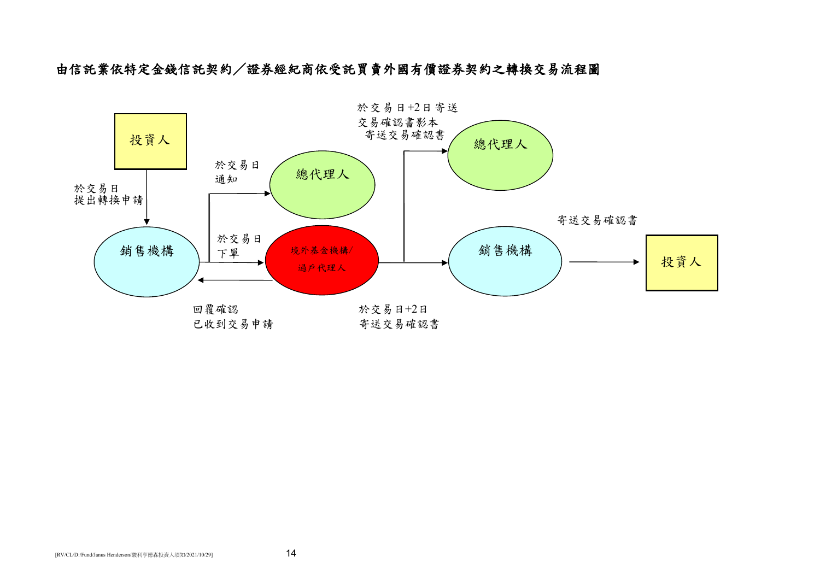由信託業依特定金錢信託契約/證券經紀商依受託買賣外國有價證券契約之轉換交易流程圖

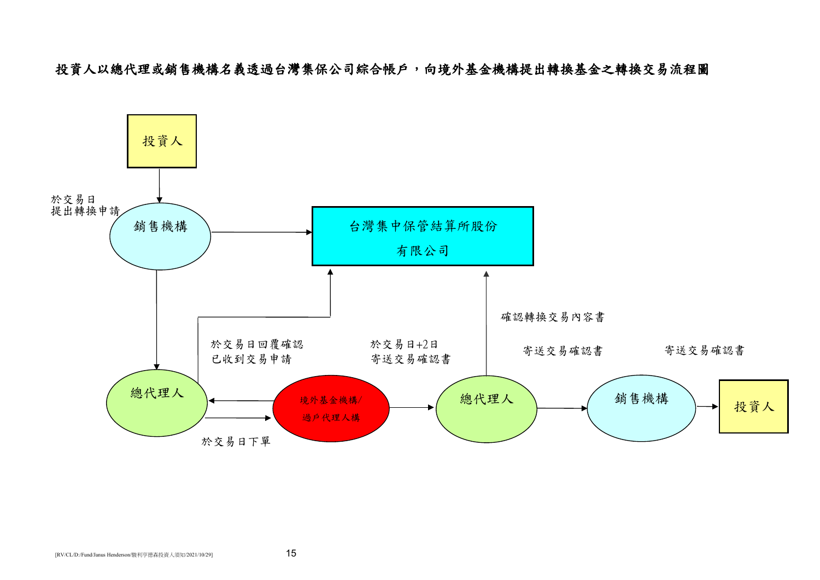投資人以總代理或銷售機構名義透過台灣集保公司綜合帳戶,向境外基金機構提出轉換基金之轉換交易流程圖

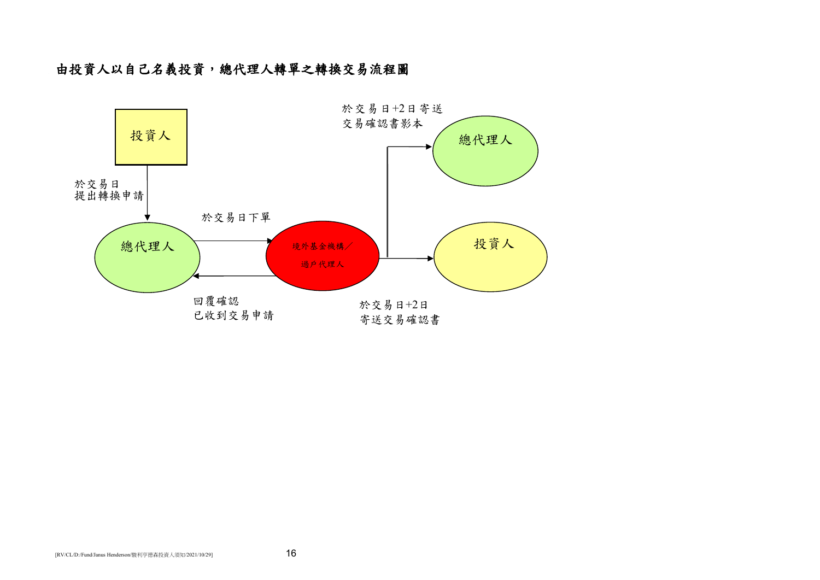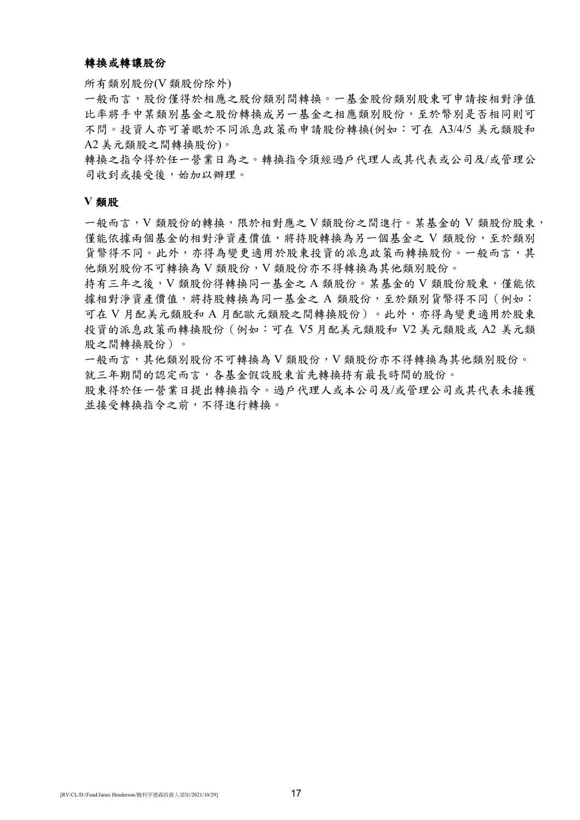## 轉換或轉讓股份

所有類別股份(V 類股份除外)

一般而言,股份僅得於相應之股份類別間轉換。一基金股份類別股東可申請按相對淨值 比率將手中某類別基金之股份轉換成另一基金之相應類別股份,至於幣別是否相同則可 不問。投資人亦可著眼於不同派息政策而申請股份轉換(例如:可在 A3/4/5 美元類股和 A2 美元類股之間轉換股份)。

轉換之指令得於任一營業日為之。轉換指令須經過戶代理人或其代表或公司及/或管理公 司收到或接受後,始加以辦理。

#### **V** 類股

一般而言,V 類股份的轉換,限於相對應之 V 類股份之間進行。某基金的 V 類股份股東, 僅能依據兩個基金的相對淨資產價值,將持股轉換為另一個基金之 V 類股份,至於類別 貨幣得不同。此外,亦得為變更適用於股東投資的派息政策而轉換股份。一般而言,其 他類別股份不可轉換為 V 類股份,V 類股份亦不得轉換為其他類別股份。

持有三年之後,V 類股份得轉換同一基金之 A 類股份。某基金的 V 類股份股東,僅能依 據相對淨資產價值,將持股轉換為同一基金之 A 類股份,至於類別貨幣得不同(例如: 可在 V 月配美元類股和 A 月配歐元類股之間轉換股份)。此外,亦得為變更適用於股東 投資的派息政策而轉換股份(例如:可在 V5 月配美元類股和 V2 美元類股或 A2 美元類 股之間轉換股份)。

一般而言,其他類別股份不可轉換為 V 類股份, V 類股份亦不得轉換為其他類別股份。 就三年期間的認定而言,各基金假設股東首先轉換持有最長時間的股份。

股東得於任一營業日提出轉換指令。過戶代理人或本公司及/或管理公司或其代表未接獲 並接受轉換指令之前,不得進行轉換。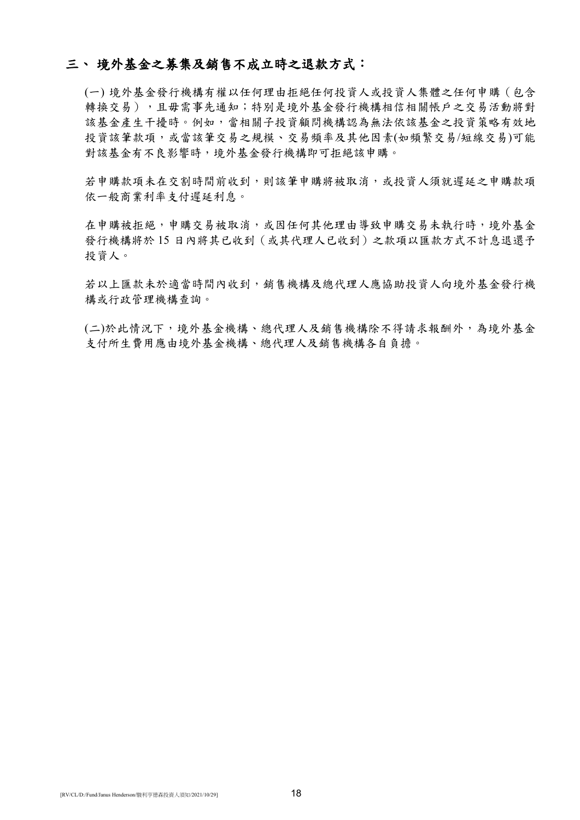## 三、 境外基金之募集及銷售不成立時之退款方式:

(一) 境外基金發行機構有權以任何理由拒絕任何投資人或投資人集體之任何申購(包含 轉換交易),且毋需事先通知;特別是境外基金發行機構相信相關帳戶之交易活動將對 該基金產生干擾時。例如,當相關子投資顧問機構認為無法依該基金之投資策略有效地 投資該筆款項,或當該筆交易之規模、交易頻率及其他因素(如頻繁交易/短線交易)可能 對該基金有不良影響時,境外基金發行機構即可拒絕該申購。

若申購款項未在交割時間前收到,則該筆申購將被取消,或投資人須就遲延之申購款項 依一般商業利率支付遲延利息。

在申購被拒絕,申購交易被取消,或因任何其他理由導致申購交易未執行時,境外基金 發行機構將於 15 日內將其已收到(或其代理人已收到)之款項以匯款方式不計息退還予 投資人。

若以上匯款未於適當時間內收到,銷售機構及總代理人應協助投資人向境外基金發行機 構或行政管理機構查詢。

(二)於此情況下,境外基金機構、總代理人及銷售機構除不得請求報酬外,為境外基金 支付所生費用應由境外基金機構、總代理人及銷售機構各自負擔。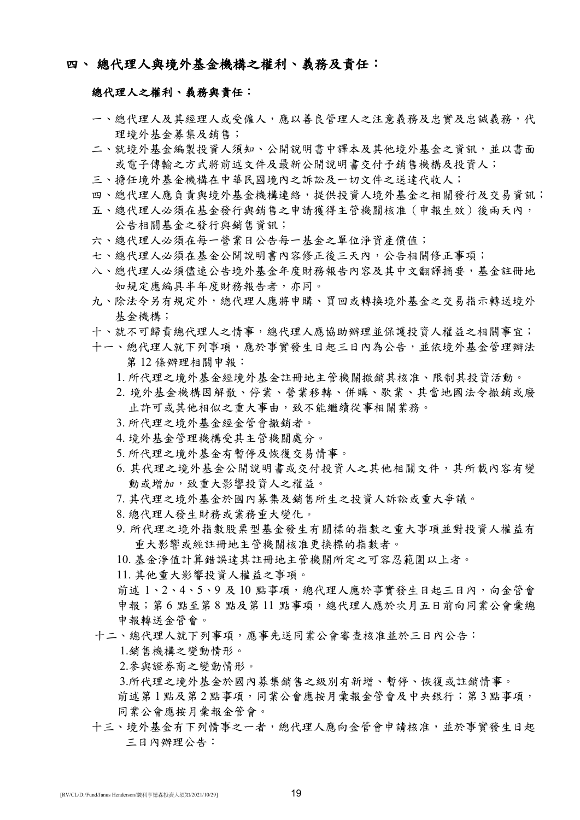# 四、 總代理人與境外基金機構之權利、義務及責任:

## 總代理人之權利、義務與責任:

- 一、總代理人及其經理人或受僱人,應以善良管理人之注意義務及忠實及忠誠義務,代 理境外基金募集及銷售;
- 二、就境外基金編製投資人須知、公開說明書中譯本及其他境外基金之資訊,並以書面 或電子傳輸之方式將前述文件及最新公開說明書交付予銷售機構及投資人;
- 三、擔任境外基金機構在中華民國境內之訴訟及一切文件之送達代收人;
- 四、總代理人應負責與境外基金機構連絡,提供投資人境外基金之相關發行及交易資訊;
- 五、總代理人必須在基金發行與銷售之申請獲得主管機關核准(申報生效)後兩天內, 公告相關基金之發行與銷售資訊;
- 六、總代理人必須在每一營業日公告每一基金之單位淨資產價值;
- 七、總代理人必須在基金公開說明書內容修正後三天內,公告相關修正事項;
- 八、總代理人必須儘速公告境外基金年度財務報告內容及其中文翻譯摘要,基金註冊地 如規定應編具半年度財務報告者,亦同。
- 九、除法令另有規定外,總代理人應將申購、買回或轉換境外基金之交易指示轉送境外 基金機構;
- 十、就不可歸責總代理人之情事,總代理人應協助辦理並保護投資人權益之相關事宜;
- 十一、總代理人就下列事項,應於事實發生日起三日內為公告,並依境外基金管理辦法 第 12 條辦理相關申報:
	- 1. 所代理之境外基金經境外基金註冊地主管機關撤銷其核准、限制其投資活動。
	- 2. 境外基金機構因解散、停業、營業移轉、併購、歇業、其當地國法令撤銷或廢 止許可或其他相似之重大事由,致不能繼續從事相關業務。
	- 3. 所代理之境外基金經金管會撤銷者。
	- 4. 境外基金管理機構受其主管機關處分。
	- 5. 所代理之境外基金有暫停及恢復交易情事。
	- 6. 其代理之境外基金公開說明書或交付投資人之其他相關文件,其所載內容有變 動或增加,致重大影響投資人之權益。
	- 7. 其代理之境外基金於國內募集及銷售所生之投資人訴訟或重大爭議。
	- 8. 總代理人發生財務或業務重大變化。
	- 9. 所代理之境外指數股票型基金發生有關標的指數之重大事項並對投資人權益有 重大影響或經註冊地主管機關核准更換標的指數者。
	- 10. 基金淨值計算錯誤達其註冊地主管機關所定之可容忍範圍以上者。
	- 11. 其他重大影響投資人權益之事項。

前述 1、2、4、5、9 及 10 點事項,總代理人應於事實發生日起三日內,向金管會 申報;第6點至第8點及第11點事項,總代理人應於次月五日前向同業公會彙總 申報轉送金管會。

十二、總代理人就下列事項,應事先送同業公會審查核准並於三日內公告:

1.銷售機構之變動情形。

- 2.參與證券商之變動情形。
- 3.所代理之境外基金於國內募集銷售之級別有新增、暫停、恢復或註銷情事。
- 前述第1點及第2點事項,同業公會應按月彙報金管會及中央銀行;第3點事項, 同業公會應按月彙報金管會。
- 十三、境外基金有下列情事之一者,總代理人應向金管會申請核准,並於事實發生日起 三日內辦理公告: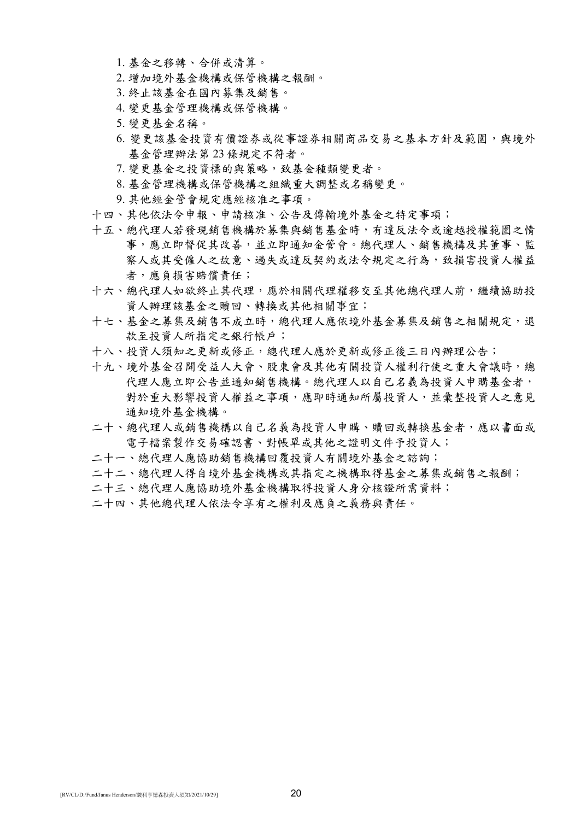- 1. 基金之移轉、合併或清算。
- 2. 增加境外基金機構或保管機構之報酬。
- 3. 終止該基金在國內募集及銷售。
- 4. 變更基金管理機構或保管機構。
- 5. 變更基金名稱。
- 6. 變更該基金投資有價證券或從事證券相關商品交易之基本方針及範圍,與境外 基金管理辦法第 23 條規定不符者。
- 7. 變更基金之投資標的與策略,致基金種類變更者。
- 8. 基金管理機構或保管機構之組織重大調整或名稱變更。
- 9. 其他經金管會規定應經核准之事項。
- 十四、其他依法令申報、申請核准、公告及傳輸境外基金之特定事項;
- 十五、總代理人若發現銷售機構於募集與銷售基金時,有違反法令或逾越授權範圍之情 事,應立即督促其改善,並立即通知金管會。總代理人、銷售機構及其董事、監 察人或其受僱人之故意、過失或違反契約或法令規定之行為,致損害投資人權益 者,應負損害賠償責任;
- 十六、總代理人如欲終止其代理,應於相關代理權移交至其他總代理人前,繼續協助投 資人辦理該基金之贖回、轉換或其他相關事宜;
- 十七、基金之募集及銷售不成立時,總代理人應依境外基金募集及銷售之相關規定,退 款至投資人所指定之銀行帳戶;
- 十八、投資人須知之更新或修正,總代理人應於更新或修正後三日內辦理公告;
- 十九、境外基金召開受益人大會、股東會及其他有關投資人權利行使之重大會議時,總 代理人應立即公告並通知銷售機構。總代理人以自己名義為投資人申購基金者, 對於重大影響投資人權益之事項,應即時通知所屬投資人,並彙整投資人之意見 通知境外基金機構。
- 二十、總代理人或銷售機構以自己名義為投資人申購、贖回或轉換基金者,應以書面或 電子檔案製作交易確認書、對帳單或其他之證明文件予投資人;
- 二十一、總代理人應協助銷售機構回覆投資人有關境外基金之諮詢;
- 二十二、總代理人得自境外基金機構或其指定之機構取得基金之募集或銷售之報酬;
- 二十三、總代理人應協助境外基金機構取得投資人身分核證所需資料;
- 二十四、其他總代理人依法令享有之權利及應負之義務與責任。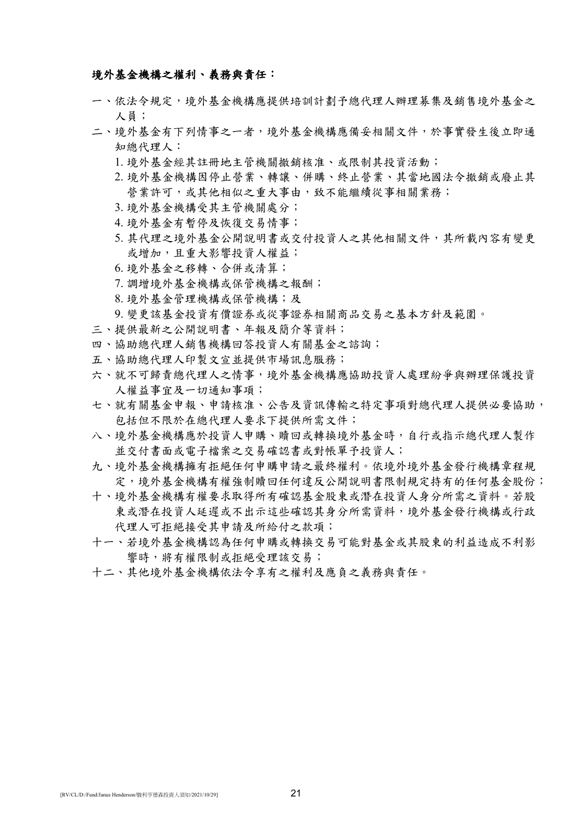## 境外基金機構之權利、義務與責任:

- 一、依法令規定,境外基金機構應提供培訓計劃予總代理人辦理募集及銷售境外基金之 人員;
- 二、境外基金有下列情事之一者,境外基金機構應備妥相關文件,於事實發生後立即通 知總代理人:
	- 1. 境外基金經其註冊地主管機關撤銷核准、或限制其投資活動;
	- 2. 境外基金機構因停止營業、轉讓、併購、終止營業、其當地國法令撤銷或廢止其 營業許可,或其他相似之重大事由,致不能繼續從事相關業務;
	- 3. 境外基金機構受其主管機關處分;
	- 4. 境外基金有暫停及恢復交易情事;
	- 5. 其代理之境外基金公開說明書或交付投資人之其他相關文件, 其所載內容有變更 或增加,且重大影響投資人權益;
	- 6. 境外基金之移轉、合併或清算;
	- 7. 調增境外基金機構或保管機構之報酬;
	- 8. 境外基金管理機構或保管機構;及

9. 變更該基金投資有價證券或從事證券相關商品交易之基本方針及範圍。

- 三、提供最新之公開說明書、年報及簡介等資料;
- 四、協助總代理人銷售機構回答投資人有關基金之諮詢;
- 五、協助總代理人印製文宣並提供市場訊息服務;
- 六、就不可歸責總代理人之情事,境外基金機構應協助投資人處理紛爭與辦理保護投資 人權益事宜及一切通知事項;
- 七、就有關基金申報、申請核准、公告及資訊傳輸之特定事項對總代理人提供必要協助, 包括但不限於在總代理人要求下提供所需文件;
- 八、境外基金機構應於投資人申購、贖回或轉換境外基金時,自行或指示總代理人製作 並交付書面或電子檔案之交易確認書或對帳單予投資人;
- 九、境外基金機構擁有拒絕任何申購申請之最終權利。依境外境外基金發行機構章程規 定,境外基金機構有權強制贖回任何違反公開說明書限制規定持有的任何基金股份;
- 十、境外基金機構有權要求取得所有確認基金股東或潛在投資人身分所需之資料。若股 東或潛在投資人延遲或不出示這些確認其身分所需資料,境外基金發行機構或行政 代理人可拒絕接受其申請及所給付之款項;
- 十一、若境外基金機構認為任何申購或轉換交易可能對基金或其股東的利益造成不利影 響時,將有權限制或拒絕受理該交易;
- 十二、其他境外基金機構依法令享有之權利及應負之義務與責任。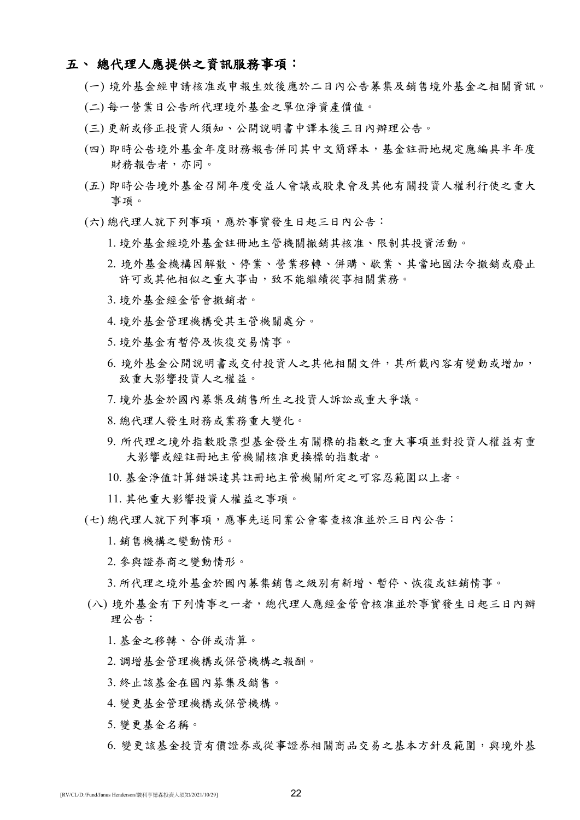## 五、 總代理人應提供之資訊服務事項:

- (一) 境外基金經申請核准或申報生效後應於二日內公告募集及銷售境外基金之相關資訊。
- (二) 每一營業日公告所代理境外基金之單位淨資產價值。
- (三) 更新或修正投資人須知、公開說明書中譯本後三日內辦理公告。
- (四) 即時公告境外基金年度財務報告併同其中文簡譯本,基金註冊地規定應編具半年度 財務報告者,亦同。
- (五) 即時公告境外基金召開年度受益人會議或股東會及其他有關投資人權利行使之重大 事項。
- (六) 總代理人就下列事項,應於事實發生日起三日內公告:
	- 1. 境外基金經境外基金註冊地主管機關撤銷其核准、限制其投資活動。
	- 2. 境外基金機構因解散、停業、營業移轉、併購、歇業、其當地國法令撤銷或廢止 許可或其他相似之重大事由,致不能繼續從事相關業務。
	- 3. 境外基金經金管會撤銷者。
	- 4. 境外基金管理機構受其主管機關處分。
	- 5. 境外基金有暫停及恢復交易情事。
	- 6. 境外基金公開說明書或交付投資人之其他相關文件,其所載內容有變動或增加, 致重大影響投資人之權益。
	- 7. 境外基金於國內募集及銷售所生之投資人訴訟或重大爭議。
	- 8. 總代理人發生財務或業務重大變化。
	- 9. 所代理之境外指數股票型基金發生有關標的指數之重大事項並對投資人權益有重 大影響或經註冊地主管機關核准更換標的指數者。
	- 10. 基金淨值計算錯誤達其註冊地主管機關所定之可容忍範圍以上者。
	- 11. 其他重大影響投資人權益之事項。
- (七) 總代理人就下列事項,應事先送同業公會審查核准並於三日內公告:
	- 1. 銷售機構之變動情形。
	- 2. 參與證券商之變動情形。

3. 所代理之境外基金於國內募集銷售之級別有新增、暫停、恢復或註銷情事。

- (八) 境外基金有下列情事之一者,總代理人應經金管會核准並於事實發生日起三日內辦 理公告:
	- 1. 基金之移轉、合併或清算。
	- 2. 調增基金管理機構或保管機構之報酬。
	- 3. 終止該基金在國內募集及銷售。
	- 4. 變更基金管理機構或保管機構。
	- 5. 變更基金名稱。
	- 6. 變更該基金投資有價證券或從事證券相關商品交易之基本方針及範圍,與境外基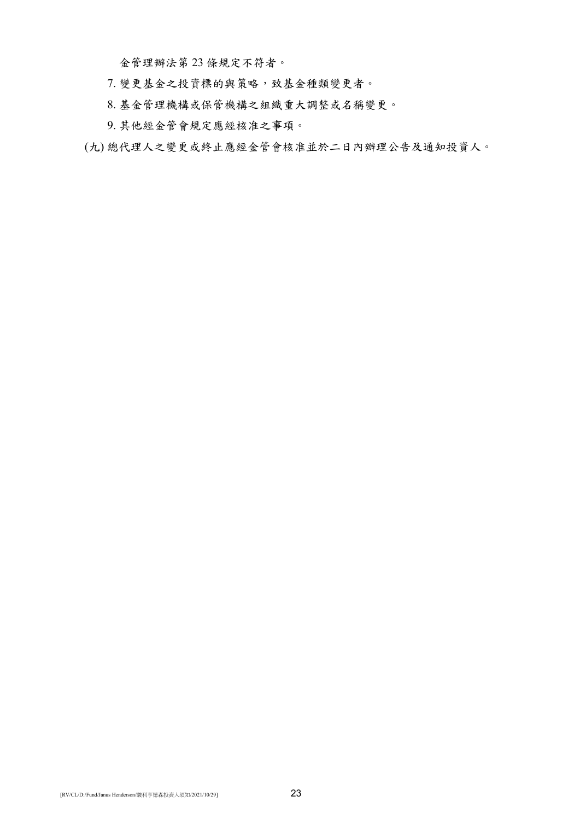金管理辦法第 23 條規定不符者。

- 7. 變更基金之投資標的與策略,致基金種類變更者。
- 8. 基金管理機構或保管機構之組織重大調整或名稱變更。
- 9. 其他經金管會規定應經核准之事項。
- (九) 總代理人之變更或終止應經金管會核准並於二日內辦理公告及通知投資人。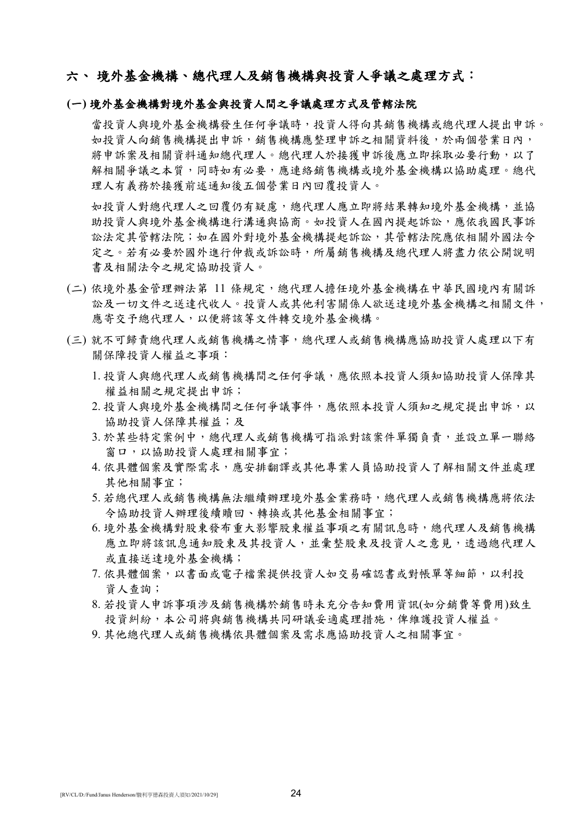## 六、境外基金機構、總代理人及銷售機構與投資人爭議之處理方式:

## **(**一**)** 境外基金機構對境外基金與投資人間之爭議處理方式及管轄法院

當投資人與境外基金機構發生任何爭議時,投資人得向其銷售機構或總代理人提出申訴。 如投資人向銷售機構提出申訴,銷售機構應整理申訴之相關資料後,於兩個營業日內, 將申訴案及相關資料通知總代理人。總代理人於接獲申訴後應立即採取必要行動,以了 解相關爭議之本質,同時如有必要,應連絡銷售機構或境外基金機構以協助處理。總代 理人有義務於接獲前述通知後五個營業日內回覆投資人。

如投資人對總代理人有疑慮,總代理人應立即將結果轉知境外基金機構,並協 助投資人與境外基金機構進行溝通與協商。如投資人在國內提起訴訟,應依我國民事訴 訟法定其管轄法院;如在國外對境外基金機構提起訴訟,其管轄法院應依相關外國法令 定之。若有必要於國外進行仲裁或訴訟時,所屬銷售機構及總代理人將盡力依公開說明 書及相關法令之規定協助投資人。

- (二) 依境外基金管理辦法第 11 條規定,總代理人擔任境外基金機構在中華民國境內有關訴 訟及一切文件之送達代收人。投資人或其他利害關係人欲送達境外基金機構之相關文件, 應寄交予總代理人,以便將該等文件轉交境外基金機構。
- (三) 就不可歸責總代理人或銷售機構之情事,總代理人或銷售機構應協助投資人處理以下有 關保障投資人權益之事項:
	- 1. 投資人與總代理人或銷售機構間之任何爭議,應依照本投資人須知協助投資人保障其 權益相關之規定提出申訴;
	- 2. 投資人與境外基金機構間之任何爭議事件,應依照本投資人須知之規定提出申訴,以 協助投資人保障其權益;及
	- 3. 於某些特定案例中,總代理人或銷售機構可指派對該案件單獨負責,並設立單一聯絡 窗口,以協助投資人處理相關事宜;
	- 4. 依具體個案及實際需求,應安排翻譯或其他專業人員協助投資人了解相關文件並處理 其他相關事宜;
	- 5. 若總代理人或銷售機構無法繼續辦理境外基金業務時,總代理人或銷售機構應將依法 令協助投資人辦理後續贖回、轉換或其他基金相關事宜;
	- 6. 境外基金機構對股東發布重大影響股東權益事項之有關訊息時,總代理人及銷售機構 應立即將該訊息通知股東及資人,並彙整股東及投資人之意見,透過總代理人 或直接送達境外基金機構;
	- 7. 依具體個案, 以書面或電子檔案提供投資人如交易確認書或對帳單等細節, 以利投 資人查詢;
	- 8. 若投資人申訴事項涉及銷售機構於銷售時未充分告知費用資訊(如分銷費等費用)致生 投資糾紛,本公司將與銷售機構共同研議妥適處理措施,俾維護投資人權益。
	- 9. 其他總代理人或銷售機構依具體個案及需求應協助投資人之相關事宜。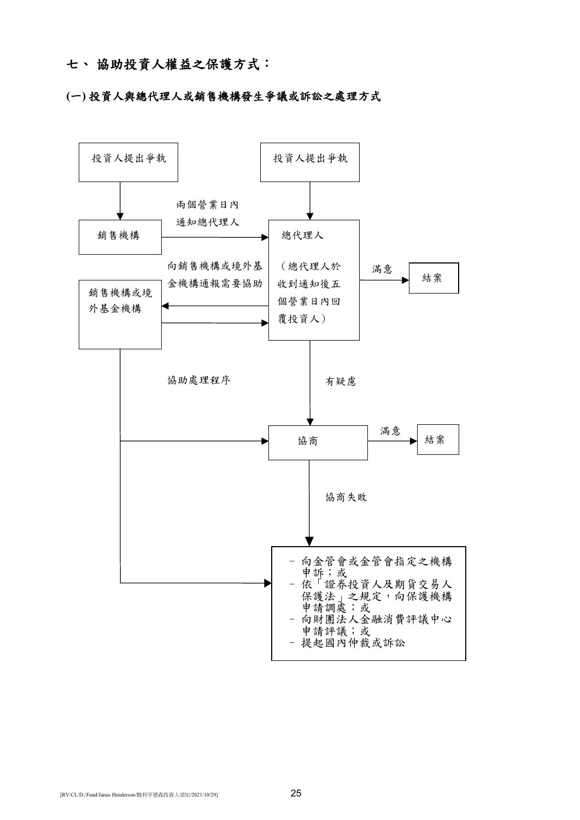## 七、 協助投資人權益之保護方式:

## **(**一**)** 投資人與總代理人或銷售機構發生爭議或訴訟之處理方式

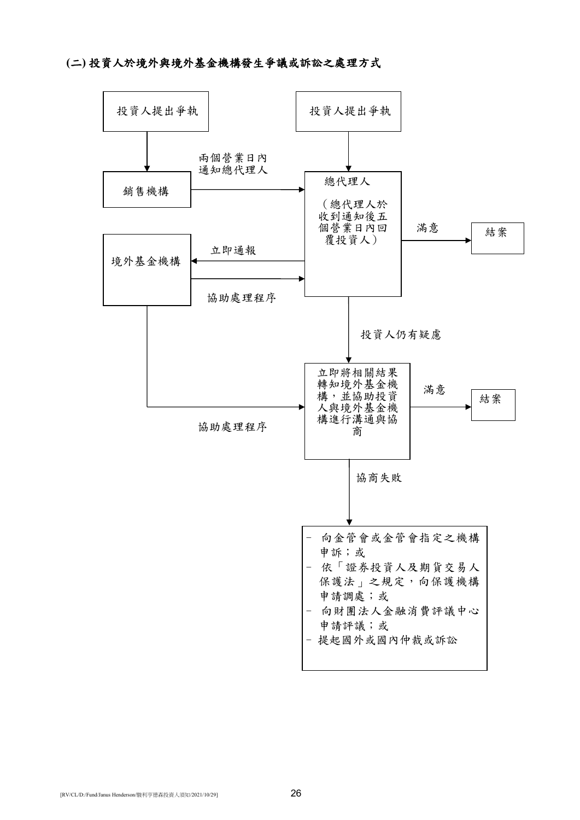# **(**二**)** 投資人於境外與境外基金機構發生爭議或訴訟之處理方式

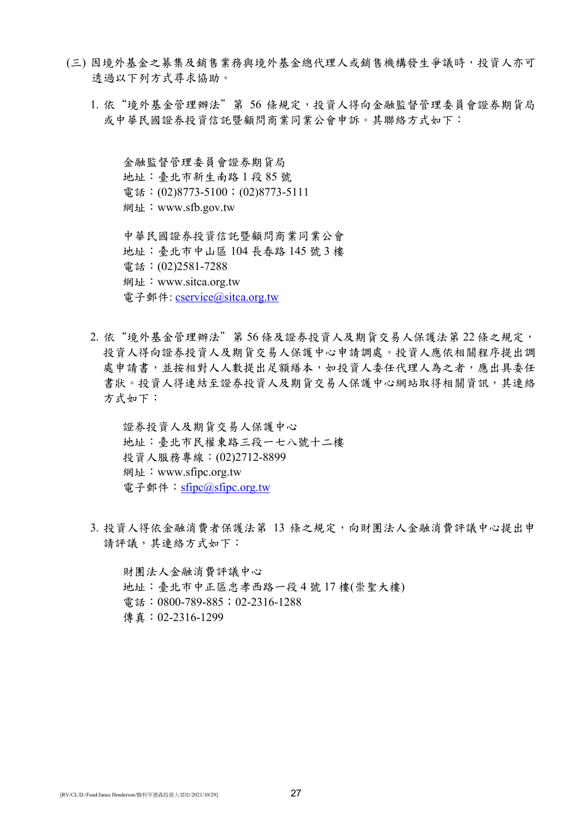- (三) 因境外基金之募集及銷售業務與境外基金總代理人或銷售機構發生爭議時,投資人亦可 透過以下列方式尋求協助。
	- 1. 依"境外基金管理辦法"第 56 條規定,投資人得向金融監督管理委員會證券期貨局 或中華民國證券投資信託暨顧問商業同業公會申訴。其聯絡方式如下:

金融監督管理委員會證券期貨局 地址:臺北市新生南路 1 段 85 號 電話: (02)8773-5100; (02)8773-5111 網址:www.sfb.gov.tw

中華民國證券投資信託暨顧問商業同業公會 地址:臺北市中山區 104 長春路 145 號 3 樓 電話:(02)2581-7288 網址:www.sitca.org.tw 電子郵件: [cservice@sitca.org.tw](mailto:cservice@sitca.org.tw)

2. 依"境外基金管理辦法"第 56 條及證券投資人及期貨交易人保護法第 22 條之規定, 投資人得向證券投資人及期貨交易人保護中心申請調處。投資人應依相關程序提出調 處申請書,並按相對人人數提出足額繕本,如投資人委任代理人為之者,應出具委任 書狀。投資人得連結至證券投資人及期貨交易人保護中心網站取得相關資訊,其連絡 方式如下:

證券投資人及期貨交易人保護中心 地址:臺北市民權東路三段一七八號十二樓 投資人服務專線:(02)2712-8899 網址:www.sfipc.org.tw 電子郵件: [sfipc@sfipc.org.tw](mailto:sfipc@sfipc.org.tw)

3. 投資人得依金融消費者保護法第 13 條之規定,向財團法人金融消費評議中心提出申 請評議,其連絡方式如下:

財團法人金融消費評議中心 地址:臺北市中正區忠孝西路一段 4 號 17 樓(崇聖大樓) 電話:0800-789-885;02-2316-1288 傳真:02-2316-1299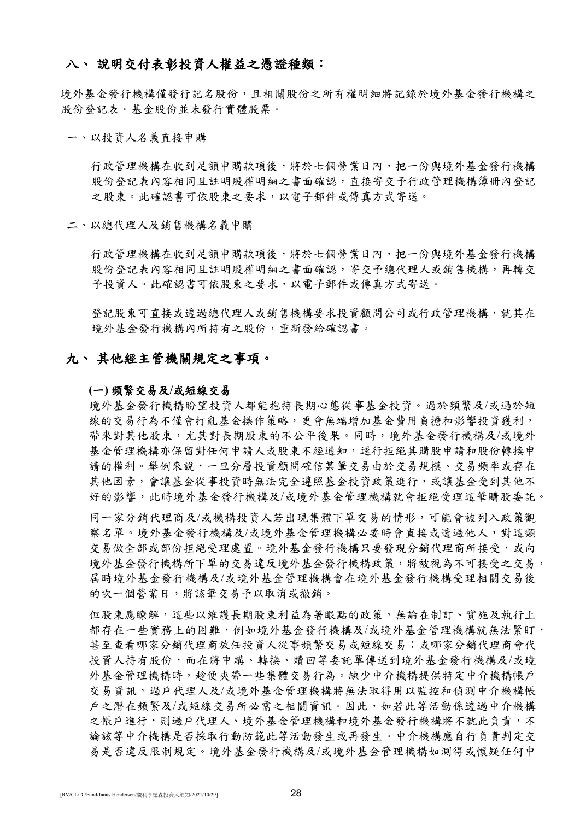## 八、 說明交付表彰投資人權益之憑證種類:

境外基金發行機構僅發行記名股份,且相關股份之所有權明細將記錄於境外基金發行機構之 股份登記表。基金股份並未發行實體股票。

#### 一、以投資人名義直接申購

行政管理機構在收到足額申購款項後,將於七個營業日內,把一份與境外基金發行機構 股份登記表內容相同且註明股權明細之書面確認,直接寄交予行政管理機構簿冊內登記 之股東。此確認書可依股東之要求,以電子郵件或傳真方式寄送。

#### 二、以總代理人及銷售機構名義申購

行政管理機構在收到足額申購款項後,將於七個營業日內,把一份與境外基金發行機構 股份登記表內容相同且註明股權明細之書面確認,寄交予總代理人或銷售機構,再轉交 予投資人。此確認書可依股東之要求,以電子郵件或傳真方式寄送。

登記股東可直接或透過總代理人或銷售機構要求投資顧問公司或行政管理機構,就其在 境外基金發行機構內所持有之股份,重新發給確認書。

## 九、 其他經主管機關規定之事項。

#### **(**一**)** 頻繁交易及**/**或短線交易

境外基金發行機構盼望投資人都能抱持長期心態從事基金投資。過於頻繁及/或過於短 線的交易行為不僅會打亂基金操作策略,更會無端增加基金費用負擔和影響投資獲利, 帶來對其他股東,尤其對長期股東的不公平後果。同時,境外基金發行機構及/或境外 基金管理機構亦保留對任何申請人或股東不經通知,逕行拒絕其購股申請和股份轉換申 請的權利。舉例來說,一旦分層投資顧問確信某筆交易由於交易規模、交易頻率或存在 其他因素,會讓基金從事投資時無法完全遵照基金投資政策進行,或讓基金受到其他不 好的影響,此時境外基金發行機構及/或境外基金管理機構就會拒絕受理這筆購股委託。

同一家分銷代理商及/或機構投資人若出現集體下單交易的情形,可能會被列入政策觀 察名單。境外基金發行機構及/或境外基金管理機構必要時會直接或透過他人,對這類 交易做全部或部份拒絕受理處置。境外基金發行機構只要發現分銷代理商所接受,或向 境外基金發行機構所下單的交易違反境外基金發行機構政策,將被視為不可接受之交易, 屆時境外基金發行機構及/或境外基金管理機構會在境外基金發行機構受理相關交易後 的次一個營業日,將該筆交易予以取消或撤銷。

但股東應瞭解,這些以維護長期股東利益為著眼點的政策,無論在制訂、實施及執行上 都存在一些實務上的困難,例如境外基金發行機構及/或境外基金管理機構就無法緊盯, 甚至查看哪家分銷代理商放任投資人從事頻繁交易或短線交易;或哪家分銷代理商會代 投資人持有股份,而在將申購、轉換、贖回等委託單傳送到境外基金發行機構及/或境 外基金管理機構時,趁便夾帶一些集體交易行為。缺少中介機構提供特定中介機構帳戶 交易資訊,過戶代理人及/或境外基金管理機構將無法取得用以監控和偵測中介機構帳 戶之潛在頻繁及/或短線交易所必需之相關資訊。因此,如若此等活動係透過中介機構 之帳戶進行,則過戶代理人、境外基金管理機構和境外基金發行機構將不就此負責,不 論該等中介機構是否採取行動防範此等活動發生或再發生。中介機構應自行負責判定交 易是否違反限制規定。境外基金發行機構及/或境外基金管理機構如測得或懷疑任何中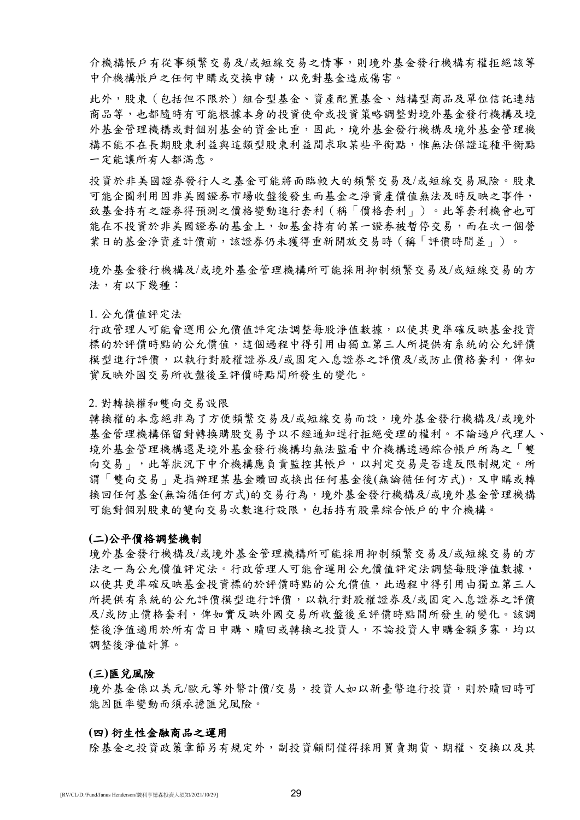介機構帳戶有從事頻繁交易及/或短線交易之情事,則境外基金發行機構有權拒絕該等 中介機構帳戶之任何申購或交換申請,以免對基金造成傷害。

此外,股東(包括但不限於)組合型基金、資產配置基金、結構型商品及單位信託連結 商品等,也都隨時有可能根據本身的投資使命或投資策略調整對境外基金發行機構及境 外基金管理機構或對個別基金的資金比重,因此,境外基金發行機構及境外基金管理機 構不能不在長期股東利益與這類型股東利益間求取某些平衡點,惟無法保證這種平衡點 一定能讓所有人都滿意。

投資於非美國證券發行人之基金可能將面臨較大的頻繁交易及/或短線交易風險。股東 可能企圖利用因非美國證券市場收盤後發生而基金之淨資產價值無法及時反映之事件, 致基金持有之證券得預測之價格變動進行套利(稱「價格套利」)。此等套利機會也可 能在不投資於非美國證券的基金上,如基金持有的某一證券被暫停交易,而在次一個營 業日的基金淨資產計價前,該證券仍未獲得重新開放交易時(稱「評價時間差」)。

境外基金發行機構及/或境外基金管理機構所可能採用抑制頻繁交易及/或短線交易的方 法,有以下幾種:

#### 1. 公允價值評定法

行政管理人可能會運用公允價值評定法調整每股淨值數據,以使其更準確反映基金投資 標的於評價時點的公允價值,這個過程中得引用由獨立第三人所提供有系統的公允評價 模型進行評價,以執行對股權證券及/或固定入息證券之評價及/或防止價格套利,俾如 實反映外國交易所收盤後至評價時點間所發生的變化。

### 2. 對轉換權和雙向交易設限

轉換權的本意絕非為了方便頻繁交易及/或短線交易而設,境外基金發行機構及/或境外 基金管理機構保留對轉換購股交易予以不經通知逕行拒絕受理的權利。不論過戶代理人、 境外基金管理機構還是境外基金發行機構均無法監看中介機構透過綜合帳戶所為之「雙 向交易」,此等狀況下中介機構應負責監控其帳戶,以判定交易是否違反限制規定。所 謂「雙向交易」是指辦理某基金贖回或換出任何基金後(無論循任何方式),又申購或轉 換回任何基金(無論循任何方式)的交易行為,境外基金發行機構及/或境外基金管理機構 可能對個別股東的雙向交易次數進行設限,包括持有股票綜合帳戶的中介機構。

### **(**二**)**公平價格調整機制

境外基金發行機構及/或境外基金管理機構所可能採用抑制頻繁交易及/或短線交易的方 法之一為公允價值評定法。行政管理人可能會運用公允價值評定法調整每股淨值數據, 以使其更準確反映基金投資標的於評價時點的公允價值,此過程中得引用由獨立第三人 所提供有系統的公允評價模型進行評價,以執行對股權證券及/或固定入息證券之評價 及/或防止價格套利,俾如實反映外國交易所收盤後至評價時點間所發生的變化。該調 整後淨值適用於所有當日申購、贖回或轉換之投資人,不論投資人申購金額多寡,均以 調整後淨值計算。

#### **(**三**)**匯兌風險

境外基金係以美元/歐元等外幣計價/交易,投資人如以新臺幣進行投資,則於贖回時可 能因匯率變動而須承擔匯兌風險。

#### **(**四**)** 衍生性金融商品之運用

除基金之投資政策章節另有規定外,副投資顧問僅得採用買賣期貨、期權、交換以及其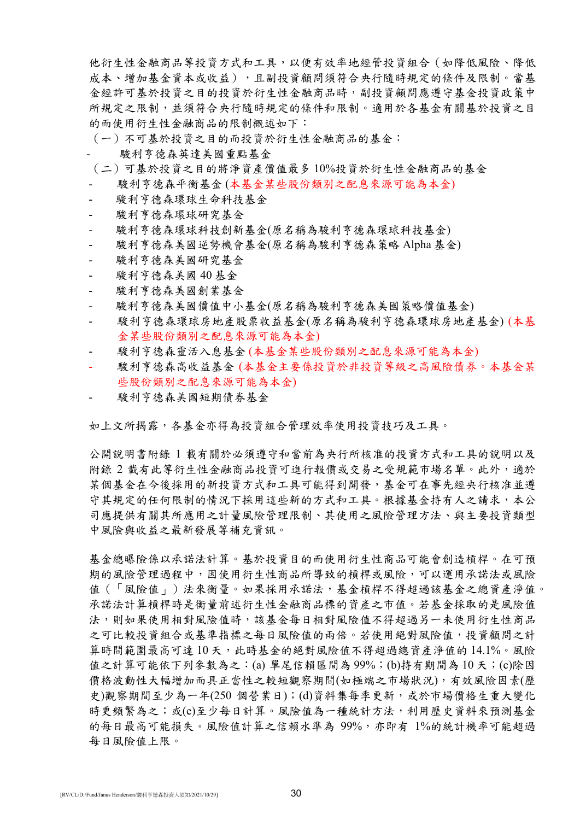他衍生性金融商品等投資方式和工具,以便有效率地經管投資組合(如降低風險、降低 成本、增加基金資本或收益),且副投資顧問須符合央行隨時規定的條件及限制。當基 金經許可基於投資之目的投資於衍生性金融商品時,副投資顧問應遵守基金投資政策中 所規定之限制,並須符合央行隨時規定的條件和限制。適用於各基金有關基於投資之目 的而使用衍生性金融商品的限制概述如下:

(一)不可基於投資之目的而投資於衍生性金融商品的基金:

- 駿利亨德森英達美國重點基金
- (二)可基於投資之目的將淨資產價值最多 10%投資於衍生性金融商品的基金
- 駿利亨德森平衡基金 (本基金某些股份類別之配息來源可能為本金)
- 駿利亨德森環球生命科技基金
- 駿利亨德森環球研究基金
- 駿利亨德森環球科技創新基金(原名稱為駿利亨德森環球科技基金)
- 駿利亨德森美國逆勢機會基金(原名稱為駿利亨德森策略 Alpha 基金)
- 駿利亨德森美國研究基金
- 駿利亨德森美國 40 基金
- 駿利亨德森美國創業基金
- 駿利亨德森美國價值中小基金(原名稱為駿利亨德森美國策略價值基金)
- 駿利亨德森環球房地產股票收益基金(原名稱為駿利亨德森環球房地產基金) (本基 金某些股份類別之配息來源可能為本金)
- 駿利亨德森靈活入息基金 (本基金某些股份類別之配息來源可能為本金)
- 駿利亨德森高收益基金 (本基金主要係投資於非投資等級之高風險債券。本基金某 些股份類別之配息來源可能為本金)
- 駿利亨德森美國短期債券基金

如上文所揭露,各基金亦得為投資組合管理效率使用投資技巧及工具。

公開說明書附錄 1 載有關於必須遵守和當前為央行所核准的投資方式和工具的說明以及 附錄 2 載有此等衍生性金融商品投資可進行報價或交易之受規範市場名單。此外,適於 某個基金在今後採用的新投資方式和工具可能得到開發,基金可在事先經央行核准並遵 守其規定的任何限制的情況下採用這些新的方式和工具。根據基金持有人之請求,本公 司應提供有關其所應用之計量風險管理限制、其使用之風險管理方法、與主要投資類型 中風險與收益之最新發展等補充資訊。

基金總曝險係以承諾法計算。基於投資目的而使用衍生性商品可能會創造槓桿。在可預 期的風險管理過程中,因使用衍生性商品所導致的槓桿或風險,可以運用承諾法或風險 值(「風險值」)法來衡量。如果採用承諾法,基金槓桿不得超過該基金之總資產淨值。 承諾法計算槓桿時是衡量前述衍生性金融商品標的資產之市值。若基金採取的是風險值 法,則如果使用相對風險有用就基金每日相對風險值不得超過另一未使用衍生性商品 之可比較投資組合或基準指標之每日風險值的兩倍。若使用絕對風險值,投資顧問之計 算時間範圍最高可達10天,此時基金的絕對風險值不得超過總資產淨值的14.1%。風險 值之計算可能依下列參數為之:(a) 單尾信賴區間為 99%;(b)持有期間為 10 天;(c)除因 價格波動性大幅增加而具正當性之較短觀察期間(如極端之市場狀況),有效風險因素(歷 史)觀察期間至少為一年(250個營業日);(d)資料集每季更新,或於市場價格生重大變化 時更頻繁為之;或(e)至少每日計算。風險值為一種統計方法,利用歷史資料來預測基金 的每日最高可能損失。風險值計算之信賴水準為 99%,亦即有 1%的統計機率可能超過 每日風險值上限。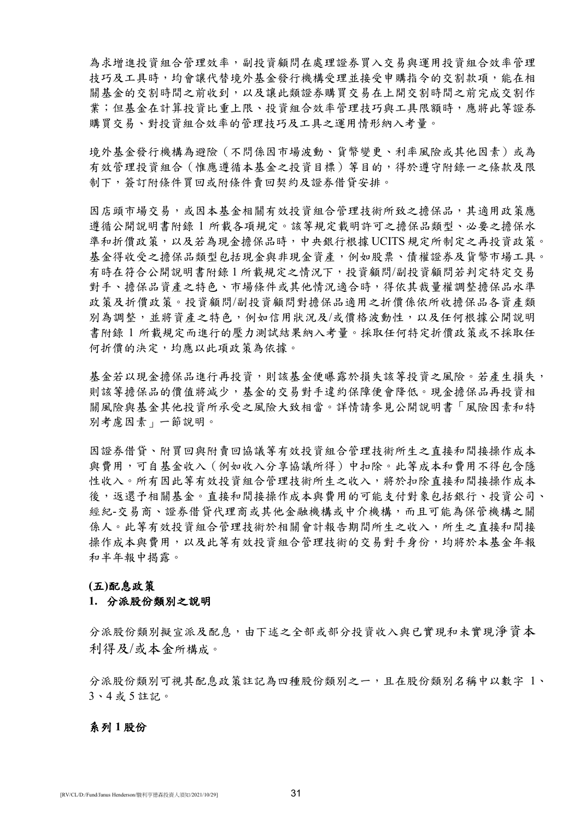為求增進投資組合管理效率,副投資顧問在處理證券買入交易與運用投資組合效率管理 技巧及工具時,均會讓代替境外基金發行機構受理並接受申購指令的交割款項,能在相 關基金的交割時間之前收到,以及讓此類證券購買交易在上開交割時間之前完成交割作 業;但基金在計算投資比重上限、投資組合效率管理技巧與工具限額時,應將此等證券 購買交易、對投資組合效率的管理技巧及工具之運用情形納入考量。

境外基金發行機構為避險(不問係因市場波動、貨幣變更、利率風險或其他因素)或為 有效管理投資組合(惟應遵循本基金之投資目標)等目的,得於遵守附錄一之條款及限 制下,簽訂附條件買回或附條件賣回契約及證券借貸安排。

因店頭市場交易,或因本基金相關有效投資組合管理技術所致之擔保品,其適用政策應 遵循公開說明書附錄 1 所載各項規定。該等規定載明許可之擔保品類型、必要之擔保水 準和折價政策,以及若為現金擔保品時,中央銀行根據 UCITS 規定所制定之再投資政策。 基金得收受之擔保品類型包括現金與非現金資產,例如股票、債權證券及貨幣市場工具。 有時在符合公開說明書附錄 1 所載規定之情況下,投資顧問/副投資顧問若判定特定交易 對手、擔保品資產之特色、市場條件或其他情況適合時,得依其裁量權調整擔保品水準 政策及折價政策。投資顧問/副投資顧問對擔保品適用之折價係依所收擔保品各資產類 別為調整,並將資產之特色,例如信用狀況及/或價格波動性,以及任何根據公開說明 書附錄 1 所載規定而進行的壓力測試結果納入考量。採取任何特定折價政策或不採取任 何折價的決定,均應以此項政策為依據。

基金若以現金擔保品進行再投資,則該基金便曝露於損失該等投資之風險。若產生損失, 則該等擔保品的價值將減少,基金的交易對手違約保障便會降低。現金擔保品再投資相 關風險與基金其他投資所承受之風險大致相當。詳情請參見公開說明書「風險因素和特 別考慮因素」一節說明。

因證券借貸、附買回與附賣回協議等有效投資組合管理技術所生之直接和間接操作成本 與費用,可自基金收入(例如收入分享協議所得)中扣除。此等成本和費用不得包含隱 性收入。所有因此等有效投資組合管理技術所生之收入,將於扣除直接和間接操作成本 後,返還予相關基金。直接和間接操作成本與費用的可能支付對象包括銀行、投資公司、 經紀-交易商、證券借貸代理商或其他金融機構或中介機構,而且可能為保管機構之關 係人。此等有效投資組合管理技術於相關會計報告期間所生之收入,所生之直接和間接 操作成本與費用,以及此等有效投資組合管理技術的交易對手身份,均將於本基金年報 和半年報中揭露。

## **(**五**)**配息政策

### **1.** 分派股份類別之說明

分派股份類別擬宣派及配息,由下述之全部或部分投資收入與已實現和未實現淨資本 利得及/或本金所構成。

分派股份類別可視其配息政策註記為四種股份類別之一,且在股份類別名稱中以數字 1、 3、4 或 5 註記。

#### 系列 **1** 股份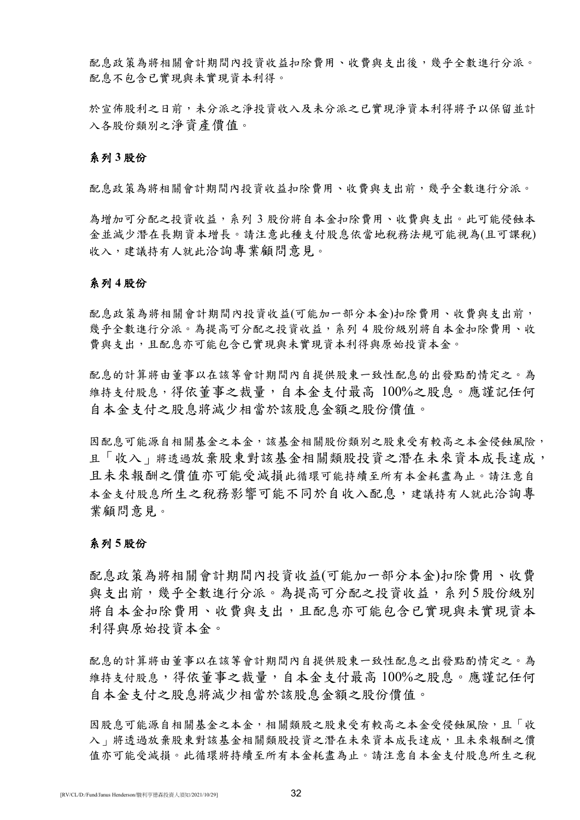配息政策為將相關會計期間內投資收益扣除費用、收費與支出後,幾乎全數進行分派。 配息不包含已實現與未實現資本利得。

於宣佈股利之日前,未分派及及未分派之已實現淨資本利得將予以保留並計 入各股份類別之淨資產價值。

## 系列 **3** 股份

配息政策為將相關會計期間內投資收益扣除費用、收費與支出前,幾乎全數進行分派。

為增加可分配之投資收益,系列 3 股份將自本金扣除費用、收費與支出。此可能侵蝕本 金並減少潛在長期資本增長。請注意此種支付股息依當地稅務法規可能視為(且可課稅) 收入,建議持有人就此洽詢專業顧問意見。

## 系列 **4** 股份

配息政策為將相關會計期間內投資收益(可能加一部分本金)扣除費用、收費與支出前, 幾乎全數進行分派。為提高可分配之投資收益,系列 4 股份級別將自本金扣除費用、收 費與支出,且配息亦可能包含已實現與未實現資本利得與原始投資本金。

配息的計算將由董事以在該等會計期間內自提供股東一致性配息的出發點酌情定之。為 維持支付股息,得依董事之裁量,自本金支付最高 100%之股息。應謹記任何 自本金支付之股息將減少相當於該股息金額之股份價值。

因配息可能源自相關基金之本金,該基金相關股份類別之股東受有較高之本金侵蝕風險, 且「收入」將透過放棄股東對該基金相關類股投資之潛在未來資本成長達成, 且未來報酬之價值亦可能受減損此循環可能持續至所有本金耗盡為止。請注意自 本金支付股息所生之稅務影響可能不同於自收入配息,建議持有人就此洽詢專 業顧問意見。

### 系列 **5** 股份

配息政策為將相關會計期間內投資收益(可能加一部分本金)扣除費用、收費 與支出前,幾乎全數進行分派。為提高可分配之投資收益,系列5股份級別 將自本金扣除費用、收費與支出,且配息亦可能包含已實現與未實現資本 利得與原始投資本金。

配息的計算將由董事以在該等會計期間內自提供股東一致性配息之出發點酌情定之。為 維持支付股息,得依董事之裁量,自本金支付最高 100%之股息。應謹記任何 自本金支付之股息將減少相當於該股息金額之股份價值。

因股息可能源自相關基金之本金,相關類股之股東受有較高之本金受侵蝕風險,且「收 入、將透過放棄股東對該基金相關類股投資之潛在未來資本成長達成,且未來報酬之價 值亦可能受減損。此循環將持續至所有本金耗盡為止。請注意自本金支付股息所生之稅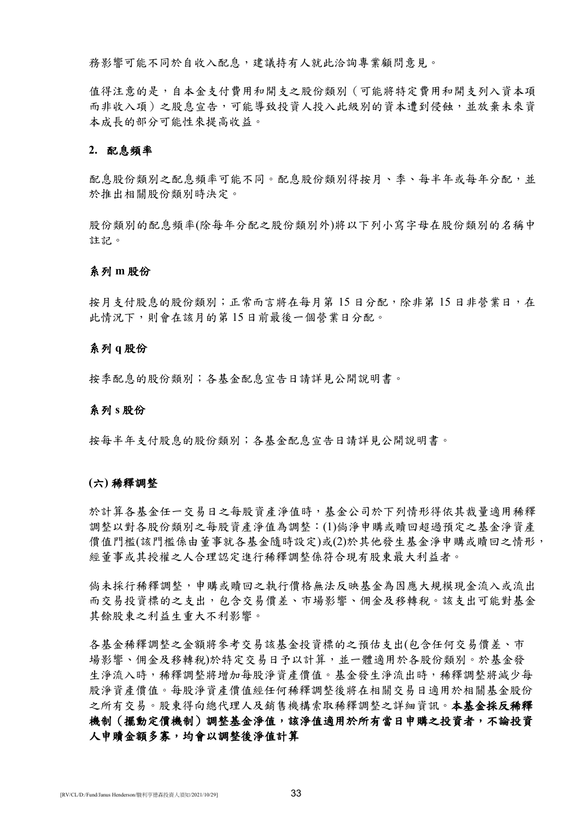務影響可能不同於自收入配息,建議持有人就此洽詢專業顧問意見。

值得注意的是,自本金支付費用和開支之股份類別(可能將特定費用和開支列入資本項 而非收入項)之股息宣告,可能導致投資人投入此級別的資本遭到侵蝕,並放棄未來資 本成長的部分可能性來提高收益。

## **2.** 配息頻率

配息股份類別之配息頻率可能不同。配息股份類別得按月、季、每半年或每年分配,並 於推出相關股份類別時決定。

股份類別的配息頻率(除每年分配之股份類別外)將以下列小寫字母在股份類別的名稱中 註記。

#### 系列 **m** 股份

按月支付股息的股份類別;正常而言將在每月第15日分配,除非第15日非營業日,在 此情況下,則會在該月的第 15 日前最後一個營業日分配。

#### 系列 **q** 股份

按季配息的股份類別;各基金配息宣告日請詳見公開說明書。

#### 系列 **s** 股份

按每半年支付股息的股份類別;各基金配息宣告日請詳見公開說明書。

#### **(**六**)** 稀釋調整

於計算各基金任一交易日之每股資產淨值時,基金公司於下列情形得依其裁量適用稀釋 調整以對各股份類別之每股資產淨值為調整:(1)倘淨申購或贖回超過預定之基金淨資產 價值門檻(該門檻係由董事就各基金隨時設定)或(2)於其他發生基金淨申購或贖回之情形, 經董事或其授權之人合理認定進行稀釋調整係符合現有股東最大利益者。

倘未採行稀釋調整,申購或贖回之執行價格無法反映基金為因應大規模現金流入或流出 而交易投資標的之支出,包含交易價差、市場影響、佣金及移轉稅。該支出可能對基金 其餘股東之利益生重大不利影響。

各基金稀釋調整之金額將參考交易該基金投資標的之預估支出(包含任何交易價差、市 場影響、佣金及移轉稅)於特定交易日予以計算,並一體適用於各股份類別。於基金發 生淨流入時,稀釋調整將增加每股淨資產價值。基金發生淨流出時,稀釋調整將減少每 股淨資產價值。每股淨資產價值經任何稀釋調整後將在相關交易日適用於相關基金股份 之所有交易。股東得向總代理人及銷售機構索取稀釋調整之詳細資訊。本基金採反稀釋 機制(擺動定價機制)調整基金淨值,該淨值適用於所有當日申購之投資者,不論投資 人申贖金額多寡,均會以調整後淨值計算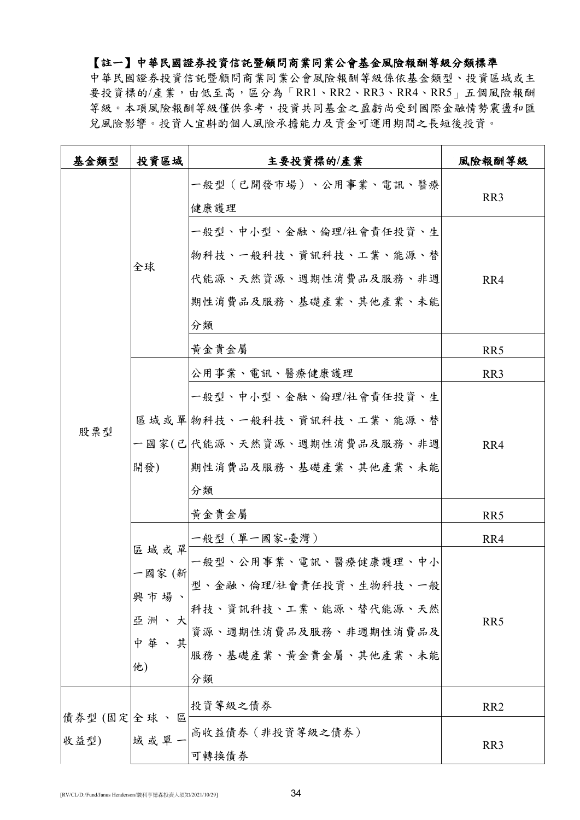# 【註一】中華民國證券投資信託暨顧問商業同業公會基金風險報酬等級分類標準

中華民國證券投資信託暨顧問商業同業公會風險報酬等級係依基金類型、投資區域或主 要投資標的/產業,由低至高,區分為「RR1、RR2、RR3、RR4、RR5」五個風險報酬 等級。本項風險報酬等級僅供參考,投資共同基金之盈虧尚受到國際金融情勢震盪和匯 兌風險影響。投資人宜斟酌個人風險承擔能力及資金可運用期間之長短後投資。

| 基金類型                 | 投資區域                                      | 主要投資標的/產業                                                                                                                                     | 風險報酬等級                                    |
|----------------------|-------------------------------------------|-----------------------------------------------------------------------------------------------------------------------------------------------|-------------------------------------------|
|                      |                                           | 一般型(已開發市場)、公用事業、電訊、醫療<br>健康護理                                                                                                                 | RR <sub>3</sub>                           |
|                      | 全球                                        | 一般型、中小型、金融、倫理/社會責任投資、生<br>物科技、一般科技、資訊科技、工業、能源、替<br>代能源、天然資源、週期性消費品及服務、非週<br>期性消費品及服務、基礎產業、其他產業、未能<br>分類<br>黃金貴金屬<br>公用事業、電訊、醫療健康護理            | RR4<br>RR <sub>5</sub><br>RR <sub>3</sub> |
| 股票型                  | 開發)                                       | 一般型、中小型、金融、倫理/社會責任投資、生<br>區域或單 物科技、一般科技、資訊科技、工業、能源、替<br>一國家(已 代能源、天然資源、週期性消費品及服務、非週<br> 期性消費品及服務、基礎產業、其他產業、未能<br>分類                           | RR4                                       |
|                      |                                           | 黄金貴金屬                                                                                                                                         | RR5                                       |
|                      |                                           | 一般型(單一國家-臺灣)                                                                                                                                  | RR4                                       |
|                      | 區域或單<br>一國家 (新<br>興市場、<br>亞 洲<br>中華<br>他) | 一般型、公用事業、電訊、醫療健康護理、中小<br>型、金融、倫理/社會責任投資、生物科技、一般<br>科技、資訊科技、工業、能源、替代能源、天然<br> <br> 資源、週期性消費品及服務、非週期性消費品及 <br>其 <br>服務、基礎產業、黃金貴金屬、其他產業、未能<br>分類 | RR5                                       |
|                      |                                           | 投資等級之債券                                                                                                                                       | RR <sub>2</sub>                           |
| 債券型 (固定 全球、區<br>收益型) |                                           | 域 或 單 一 高收益債券 (非投資等級之債券)<br>可轉換債券                                                                                                             | RR3                                       |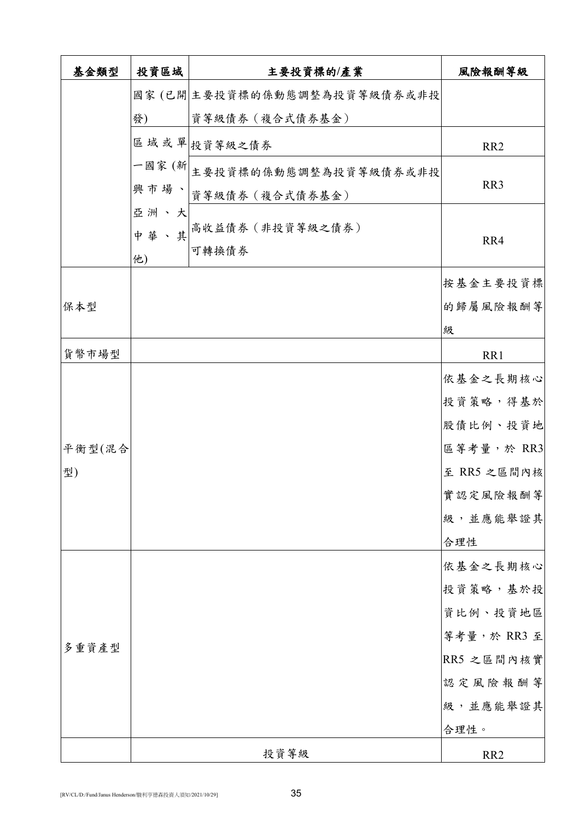| 基金類型   | 投資區域 | 主要投資標的/產業                       | 風險報酬等級          |
|--------|------|---------------------------------|-----------------|
|        |      | 國家(已開 主要投資標的係動態調整為投資等級債券或非投     |                 |
|        | 發)   | 資等級債券 (複合式債券基金)                 |                 |
|        |      | 區域或單投資等級之債券                     | RR <sub>2</sub> |
|        |      | 一國家(新 <br>主要投資標的係動態調整為投資等級債券或非投 |                 |
|        |      | 興 市 場 、 <br>資等級債券(複合式債券基金)      | RR3             |
|        | 亞洲、大 |                                 |                 |
|        | 中華、其 | 高收益債券 (非投資等級之債券)<br>可轉換債券       | RR4             |
|        | 他)   |                                 |                 |
|        |      |                                 | 按基金主要投資標        |
| 保本型    |      |                                 | 的歸屬風險報酬等        |
|        |      |                                 | 級               |
| 貨幣市場型  |      |                                 | RR1             |
|        |      |                                 | 依基金之長期核心        |
|        |      |                                 | 投資策略,得基於        |
|        |      |                                 | 股債比例、投資地        |
| 平衡型(混合 |      |                                 | 區等考量,於 RR3      |
| 型)     |      |                                 | 至 RR5 之區間內核     |
|        |      |                                 | 實認定風險報酬等        |
|        |      |                                 | 級,並應能舉證其        |
|        |      |                                 | 合理性             |
|        |      |                                 | 依基金之長期核心        |
|        |      |                                 | 投資策略,基於投        |
|        |      |                                 | 資比例、投資地區        |
| 多重資產型  |      |                                 | 等考量,於 RR3 至     |
|        |      |                                 | RR5 之區間內核實      |
|        |      |                                 | 認定風險報酬等         |
|        |      |                                 | 級,並應能舉證其        |
|        |      |                                 | 合理性。            |
|        |      | 投資等級                            | RR <sub>2</sub> |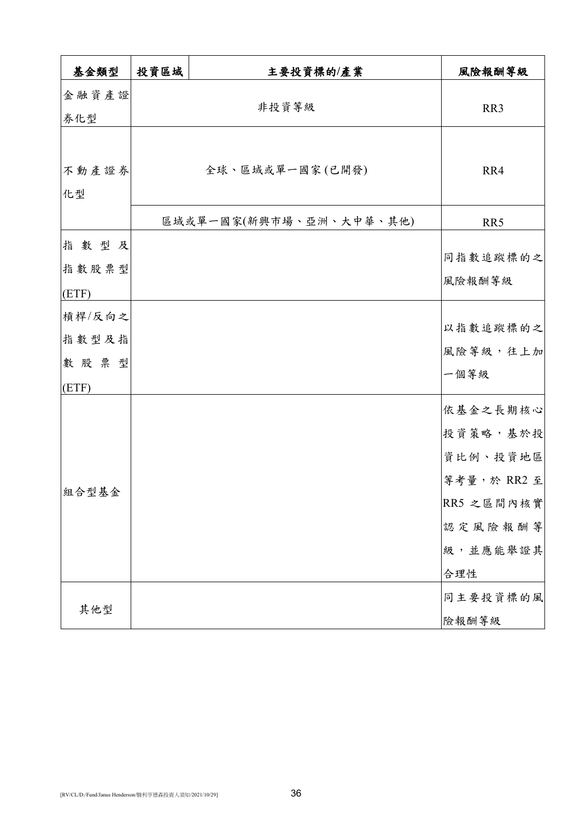| 基金類型            | 投資區域 | 主要投資標的/產業               | 風險報酬等級                  |
|-----------------|------|-------------------------|-------------------------|
| 金融資產證<br>券化型    |      | 非投資等級                   | RR <sub>3</sub>         |
|                 |      |                         |                         |
| 不動產證券<br>化型     |      | 全球、區域或單一國家(已開發)         | RR4                     |
|                 |      | 區域或單一國家(新興市場、亞洲、大中華、其他) | RR5                     |
| 指數型及<br>指數股票型   |      |                         | 同指數追蹤標的之                |
| (ETF)           |      |                         | 風險報酬等級                  |
| 槓桿/反向之<br>指數型及指 |      |                         | 以指數追蹤標的之                |
| 數股票型            |      |                         | 風險等級,往上加<br>一個等級        |
| (ETF)           |      |                         | 依基金之長期核心                |
| 組合型基金           |      |                         | 投資策略,基於投                |
|                 |      |                         | 資比例、投資地區<br>等考量,於 RR2 至 |
|                 |      |                         | RR5 之區間內核實              |
|                 |      |                         | 認定風險報酬等<br>級,並應能舉證其     |
|                 |      |                         | 合理性                     |
| 其他型             |      |                         | 同主要投資標的風<br>險報酬等級       |